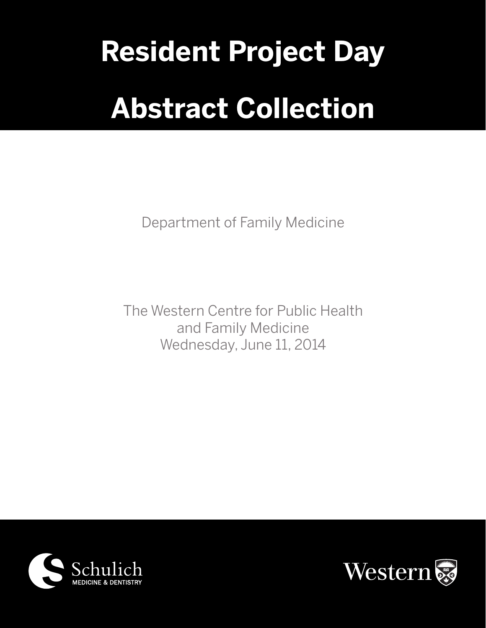# **Resident Project Day Abstract Collection**

Department of Family Medicine

The Western Centre for Public Health and Family Medicine Wednesday, June 11, 2014



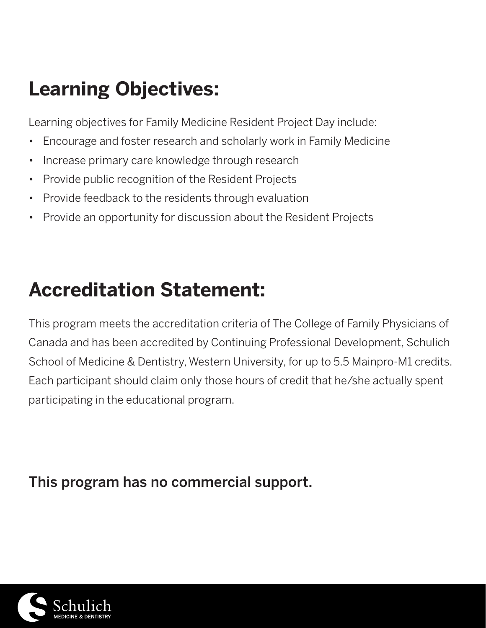# **Learning Objectives:**

Learning objectives for Family Medicine Resident Project Day include:

- • Encourage and foster research and scholarly work in Family Medicine
- Increase primary care knowledge through research
- • Provide public recognition of the Resident Projects
- Provide feedback to the residents through evaluation
- Provide an opportunity for discussion about the Resident Projects

# **Accreditation Statement:**

This program meets the accreditation criteria of The College of Family Physicians of Canada and has been accredited by Continuing Professional Development, Schulich School of Medicine & Dentistry, Western University, for up to 5.5 Mainpro-M1 credits. Each participant should claim only those hours of credit that he/she actually spent participating in the educational program.

This program has no commercial support.

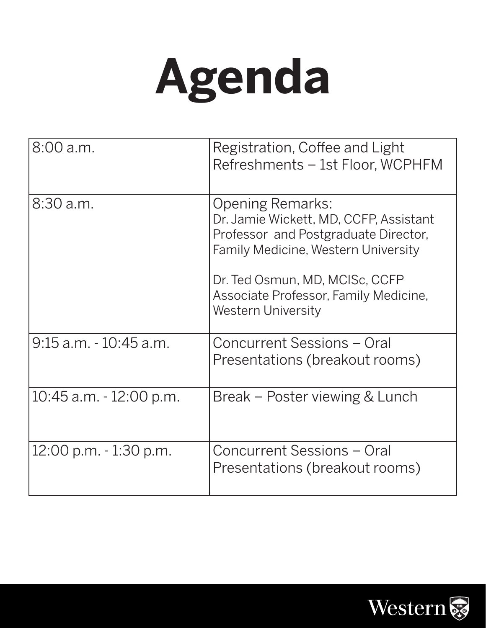

| 8:00 a.m.                  | Registration, Coffee and Light<br>Refreshments - 1st Floor, WCPHFM                                                                                                                                                                                              |
|----------------------------|-----------------------------------------------------------------------------------------------------------------------------------------------------------------------------------------------------------------------------------------------------------------|
| 8:30 a.m.                  | <b>Opening Remarks:</b><br>Dr. Jamie Wickett, MD, CCFP, Assistant<br>Professor and Postgraduate Director,<br><b>Family Medicine, Western University</b><br>Dr. Ted Osmun, MD, MCISc, CCFP<br>Associate Professor, Family Medicine,<br><b>Western University</b> |
| 9:15 a.m. - 10:45 a.m.     | Concurrent Sessions - Oral<br>Presentations (breakout rooms)                                                                                                                                                                                                    |
| $10:45$ a.m. $-12:00$ p.m. | Break – Poster viewing & Lunch                                                                                                                                                                                                                                  |
| 12:00 p.m. - 1:30 p.m.     | Concurrent Sessions - Oral<br>Presentations (breakout rooms)                                                                                                                                                                                                    |

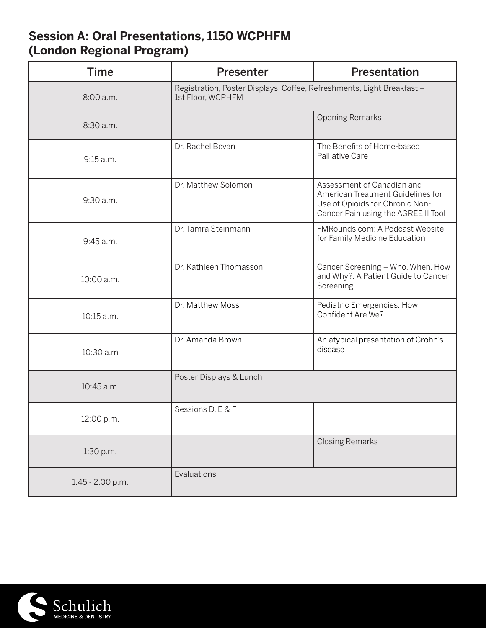# **Session A: Oral Presentations, 1150 WCPHFM (London Regional Program)**

| <b>Time</b>      | <b>Presenter</b>                                                                            | <b>Presentation</b>                                                                                                                       |
|------------------|---------------------------------------------------------------------------------------------|-------------------------------------------------------------------------------------------------------------------------------------------|
| 8:00 a.m.        | Registration, Poster Displays, Coffee, Refreshments, Light Breakfast -<br>1st Floor, WCPHFM |                                                                                                                                           |
| 8:30 a.m.        |                                                                                             | <b>Opening Remarks</b>                                                                                                                    |
| 9:15 a.m.        | Dr. Rachel Bevan                                                                            | The Benefits of Home-based<br>Palliative Care                                                                                             |
| 9:30 a.m.        | Dr. Matthew Solomon                                                                         | Assessment of Canadian and<br>American Treatment Guidelines for<br>Use of Opioids for Chronic Non-<br>Cancer Pain using the AGREE II Tool |
| 9:45 a.m.        | Dr. Tamra Steinmann                                                                         | FMRounds.com: A Podcast Website<br>for Family Medicine Education                                                                          |
| 10:00 a.m.       | Dr. Kathleen Thomasson                                                                      | Cancer Screening - Who, When, How<br>and Why?: A Patient Guide to Cancer<br>Screening                                                     |
| 10:15 a.m.       | Dr. Matthew Moss                                                                            | Pediatric Emergencies: How<br>Confident Are We?                                                                                           |
| 10:30 a.m        | Dr. Amanda Brown                                                                            | An atypical presentation of Crohn's<br>disease                                                                                            |
| 10:45 a.m.       | Poster Displays & Lunch                                                                     |                                                                                                                                           |
| 12:00 p.m.       | Sessions D, E & F                                                                           |                                                                                                                                           |
| 1:30 p.m.        |                                                                                             | <b>Closing Remarks</b>                                                                                                                    |
| 1:45 - 2:00 p.m. | Evaluations                                                                                 |                                                                                                                                           |

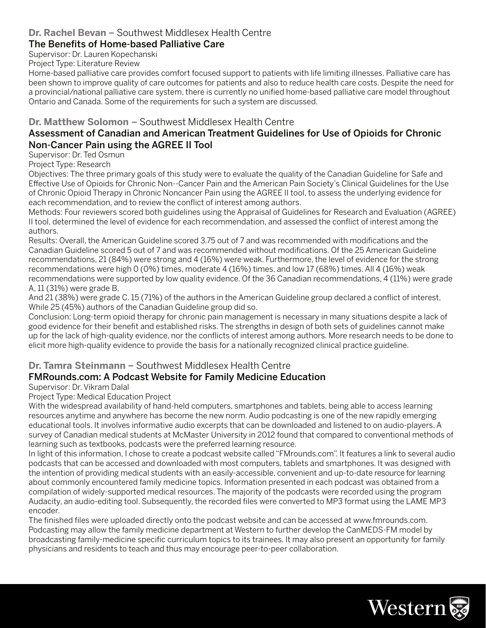#### **Dr. Rachel Bevan** – Southwest Middlesex Health Centre

#### The Benefits of Home-based Palliative Care

Supervisor: Dr. Lauren Kopechanski

Project Type: Literature Review

Home-based palliative care provides comfort focused support to patients with life limiting illnesses. Palliative care has been shown to improve quality of care outcomes for patients and also to reduce health care costs. Despite the need for a provincial/national palliative care system, there is currently no unified home-based palliative care model throughout Ontario and Canada. Some of the requirements for such a system are discussed.

#### **Dr. Matthew Solomon** – Southwest Middlesex Health Centre

#### Assessment of Canadian and American Treatment Guidelines for Use of Opioids for Chronic Non-Cancer Pain using the AGREE II Tool

Supervisor: Dr. Ted Osmun

Project Type: Research

Objectives: The three primary goals of this study were to evaluate the quality of the Canadian Guideline for Safe and Effective Use of Opioids for Chronic Non--Cancer Pain and the American Pain Society's Clinical Guidelines for the Use of Chronic Opioid Therapy in Chronic Noncancer Pain using the AGREE II tool, to assess the underlying evidence for each recommendation, and to review the conflict of interest among authors.

Methods: Four reviewers scored both guidelines using the Appraisal of Guidelines for Research and Evaluation (AGREE) II tool, determined the level of evidence for each recommendation, and assessed the conflict of interest among the authors.

Results: Overall, the American Guideline scored 3.75 out of 7 and was recommended with modifications and the Canadian Guideline scored 5 out of 7 and was recommended without modifications. Of the 25 American Guideline recommendations, 21 (84%) were strong and 4 (16%) were weak. Furthermore, the level of evidence for the strong recommendations were high 0 (0%) times, moderate 4 (16%) times, and low 17 (68%) times. All 4 (16%) weak recommendations were supported by low quality evidence. Of the 36 Canadian recommendations, 4 (11%) were grade A, 11 (31%) were grade B,

And 21 (38%) were grade C. 15 (71%) of the authors in the American Guideline group declared a conflict of interest, While 25 (45%) authors of the Canadian Guideline group did so.

Conclusion: Long-term opioid therapy for chronic pain management is necessary in many situations despite a lack of good evidence for their benefit and established risks. The strengths in design of both sets of guidelines cannot make up for the lack of high-quality evidence, nor the conflicts of interest among authors. More research needs to be done to elicit more high-quality evidence to provide the basis for a nationally recognized clinical practice guideline.

#### **Dr. Tamra Steinmann** – Southwest Middlesex Health Centre

#### FMRounds.com: A Podcast Website for Family Medicine Education

#### Supervisor: Dr. Vikram Dalal

Project Type: Medical Education Project

With the widespread availability of hand-held computers, smartphones and tablets, being able to access learning resources anytime and anywhere has become the new norm. Audio podcasting is one of the new rapidly emerging educational tools. It involves informative audio excerpts that can be downloaded and listened to on audio-players. A survey of Canadian medical students at McMaster University in 2012 found that compared to conventional methods of learning such as textbooks, podcasts were the preferred learning resource.

In light of this information, I chose to create a podcast website called "FMrounds.com". It features a link to several audio podcasts that can be accessed and downloaded with most computers, tablets and smartphones. It was designed with the intention of providing medical students with an easily-accessible, convenient and up-to-date resource for learning about commonly encountered family medicine topics. Information presented in each podcast was obtained from a compilation of widely-supported medical resources. The majority of the podcasts were recorded using the program Audacity, an audio-editing tool. Subsequently, the recorded files were converted to MP3 format using the LAME MP3 encoder.

The finished files were uploaded directly onto the podcast website and can be accessed at www.fmrounds.com. Podcasting may allow the family medicine department at Western to further develop the CanMEDS-FM model by broadcasting family-medicine specific curriculum topics to its trainees. It may also present an opportunity for family physicians and residents to teach and thus may encourage peer-to-peer collaboration.

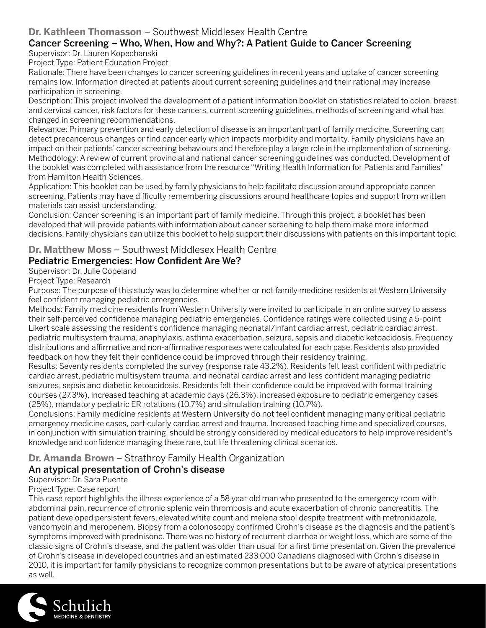#### **Dr. Kathleen Thomasson** – Southwest Middlesex Health Centre

# Cancer Screening – Who, When, How and Why?: A Patient Guide to Cancer Screening

Supervisor: Dr. Lauren Kopechanski Project Type: Patient Education Project

Rationale: There have been changes to cancer screening guidelines in recent years and uptake of cancer screening remains low. Information directed at patients about current screening guidelines and their rational may increase participation in screening.

Description: This project involved the development of a patient information booklet on statistics related to colon, breast and cervical cancer, risk factors for these cancers, current screening guidelines, methods of screening and what has changed in screening recommendations.

Relevance: Primary prevention and early detection of disease is an important part of family medicine. Screening can detect precancerous changes or find cancer early which impacts morbidity and mortality. Family physicians have an impact on their patients' cancer screening behaviours and therefore play a large role in the implementation of screening. Methodology: A review of current provincial and national cancer screening guidelines was conducted. Development of the booklet was completed with assistance from the resource "Writing Health Information for Patients and Families" from Hamilton Health Sciences.

Application: This booklet can be used by family physicians to help facilitate discussion around appropriate cancer screening. Patients may have difficulty remembering discussions around healthcare topics and support from written materials can assist understanding.

Conclusion: Cancer screening is an important part of family medicine. Through this project, a booklet has been developed that will provide patients with information about cancer screening to help them make more informed decisions. Family physicians can utilize this booklet to help support their discussions with patients on this important topic.

#### **Dr. Matthew Moss** – Southwest Middlesex Health Centre

#### Pediatric Emergencies: How Confident Are We?

Supervisor: Dr. Julie Copeland

Project Type: Research

Purpose: The purpose of this study was to determine whether or not family medicine residents at Western University feel confident managing pediatric emergencies.

Methods: Family medicine residents from Western University were invited to participate in an online survey to assess their self-perceived confidence managing pediatric emergencies. Confidence ratings were collected using a 5-point Likert scale assessing the resident's confidence managing neonatal/infant cardiac arrest, pediatric cardiac arrest, pediatric multisystem trauma, anaphylaxis, asthma exacerbation, seizure, sepsis and diabetic ketoacidosis. Frequency distributions and affirmative and non-affirmative responses were calculated for each case. Residents also provided feedback on how they felt their confidence could be improved through their residency training.

Results: Seventy residents completed the survey (response rate 43.2%). Residents felt least confident with pediatric cardiac arrest, pediatric multisystem trauma, and neonatal cardiac arrest and less confident managing pediatric seizures, sepsis and diabetic ketoacidosis. Residents felt their confidence could be improved with formal training courses (27.3%), increased teaching at academic days (26.3%), increased exposure to pediatric emergency cases (25%), mandatory pediatric ER rotations (10.7%) and simulation training (10.7%).

Conclusions: Family medicine residents at Western University do not feel confident managing many critical pediatric emergency medicine cases, particularly cardiac arrest and trauma. Increased teaching time and specialized courses, in conjunction with simulation training, should be strongly considered by medical educators to help improve resident's knowledge and confidence managing these rare, but life threatening clinical scenarios.

#### **Dr. Amanda Brown** – Strathroy Family Health Organization

#### An atypical presentation of Crohn's disease

Supervisor: Dr. Sara Puente

Project Type: Case report

This case report highlights the illness experience of a 58 year old man who presented to the emergency room with abdominal pain, recurrence of chronic splenic vein thrombosis and acute exacerbation of chronic pancreatitis. The patient developed persistent fevers, elevated white count and melena stool despite treatment with metronidazole, vancomycin and meropenem. Biopsy from a colonoscopy confirmed Crohn's disease as the diagnosis and the patient's symptoms improved with prednisone. There was no history of recurrent diarrhea or weight loss, which are some of the classic signs of Crohn's disease, and the patient was older than usual for a first time presentation. Given the prevalence of Crohn's disease in developed countries and an estimated 233,000 Canadians diagnosed with Crohn's disease in 2010, it is important for family physicians to recognize common presentations but to be aware of atypical presentations as well.

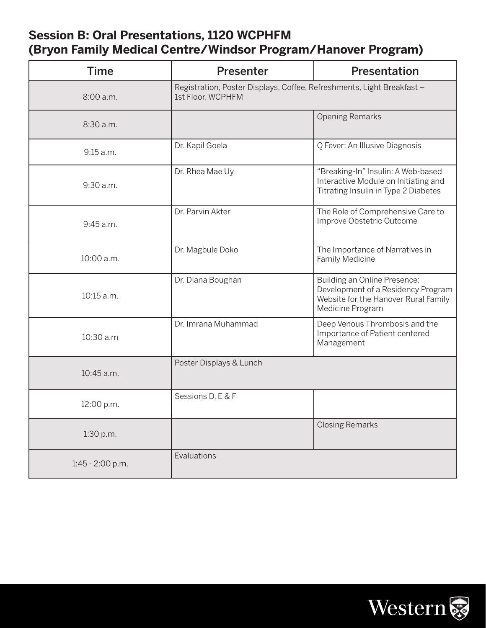# **Session B: Oral Presentations, 1120 WCPHFM (Bryon Family Medical Centre/Windsor Program/Hanover Program)**

| <b>Time</b>      | <b>Presenter</b>                                                                            | Presentation                                                                                                                   |
|------------------|---------------------------------------------------------------------------------------------|--------------------------------------------------------------------------------------------------------------------------------|
| 8:00 a.m.        | Registration, Poster Displays, Coffee, Refreshments, Light Breakfast -<br>1st Floor, WCPHFM |                                                                                                                                |
| 8:30 a.m.        |                                                                                             | <b>Opening Remarks</b>                                                                                                         |
| 9:15 a.m.        | Dr. Kapil Goela                                                                             | Q Fever: An Illusive Diagnosis                                                                                                 |
| 9:30 a.m.        | Dr. Rhea Mae Uy                                                                             | "Breaking-In" Insulin: A Web-based<br>Interactive Module on Initiating and<br>Titrating Insulin in Type 2 Diabetes             |
| 9:45 a.m.        | Dr. Parvin Akter                                                                            | The Role of Comprehensive Care to<br>Improve Obstetric Outcome                                                                 |
| 10:00 a.m.       | Dr. Magbule Doko                                                                            | The Importance of Narratives in<br>Family Medicine                                                                             |
| 10:15 a.m.       | Dr. Diana Boughan                                                                           | Building an Online Presence:<br>Development of a Residency Program<br>Website for the Hanover Rural Family<br>Medicine Program |
| 10:30 a.m        | Dr. Imrana Muhammad                                                                         | Deep Venous Thrombosis and the<br>Importance of Patient centered<br>Management                                                 |
| 10:45 a.m.       | Poster Displays & Lunch                                                                     |                                                                                                                                |
| 12:00 p.m.       | Sessions D, E & F                                                                           |                                                                                                                                |
| 1:30 p.m.        |                                                                                             | <b>Closing Remarks</b>                                                                                                         |
| 1:45 - 2:00 p.m. | Evaluations                                                                                 |                                                                                                                                |

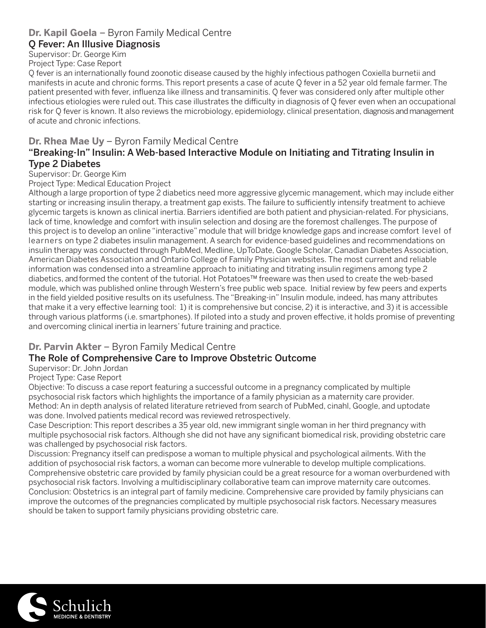#### **Dr. Kapil Goela** – Byron Family Medical Centre

#### Q Fever: An Illusive Diagnosis

Supervisor: Dr. George Kim

Project Type: Case Report

Q fever is an internationally found zoonotic disease caused by the highly infectious pathogen Coxiella burnetii and manifests in acute and chronic forms. This report presents a case of acute Q fever in a 52 year old female farmer. The patient presented with fever, influenza like illness and transaminitis. Q fever was considered only after multiple other infectious etiologies were ruled out. This case illustrates the difficulty in diagnosis of Q fever even when an occupational risk for Q fever is known. It also reviews the microbiology, epidemiology, clinical presentation, diagnosis and management of acute and chronic infections.

#### **Dr. Rhea Mae Uy** – Byron Family Medical Centre

#### "Breaking-In" Insulin: A Web-based Interactive Module on Initiating and Titrating Insulin in Type 2 Diabetes

Supervisor: Dr. George Kim

Project Type: Medical Education Project

Although a large proportion of type 2 diabetics need more aggressive glycemic management, which may include either starting or increasing insulin therapy, a treatment gap exists. The failure to sufficiently intensify treatment to achieve glycemic targets is known as clinical inertia. Barriers identified are both patient and physician-related. For physicians, lack of time, knowledge and comfort with insulin selection and dosing are the foremost challenges. The purpose of this project is to develop an online "interactive" module that will bridge knowledge gaps and increase comfort level of learners on type 2 diabetes insulin management. A search for evidence-based guidelines and recommendations on insulin therapy was conducted through PubMed, Medline, UpToDate, Google Scholar, Canadian Diabetes Association, American Diabetes Association and Ontario College of Family Physician websites. The most current and reliable information was condensed into a streamline approach to initiating and titrating insulin regimens among type 2 diabetics, and formed the content of the tutorial. Hot Potatoes™ freeware was then used to create the web-based module, which was published online through Western's free public web space. Initial review by few peers and experts in the field yielded positive results on its usefulness. The "Breaking-in" Insulin module, indeed, has many attributes that make it a very effective learning tool: 1) it is comprehensive but concise, 2) it is interactive, and 3) it is accessible through various platforms (i.e. smartphones). If piloted into a study and proven effective, it holds promise of preventing and overcoming clinical inertia in learners' future training and practice.

#### **Dr. Parvin Akter** – Byron Family Medical Centre

#### The Role of Comprehensive Care to Improve Obstetric Outcome

Supervisor: Dr. John Jordan

#### Project Type: Case Report

Objective: To discuss a case report featuring a successful outcome in a pregnancy complicated by multiple psychosocial risk factors which highlights the importance of a family physician as a maternity care provider. Method: An in depth analysis of related literature retrieved from search of PubMed, cinahl, Google, and uptodate was done. Involved patients medical record was reviewed retrospectively.

Case Description: This report describes a 35 year old, new immigrant single woman in her third pregnancy with multiple psychosocial risk factors. Although she did not have any significant biomedical risk, providing obstetric care was challenged by psychosocial risk factors.

Discussion: Pregnancy itself can predispose a woman to multiple physical and psychological ailments. With the addition of psychosocial risk factors, a woman can become more vulnerable to develop multiple complications. Comprehensive obstetric care provided by family physician could be a great resource for a woman overburdened with psychosocial risk factors. Involving a multidisciplinary collaborative team can improve maternity care outcomes. Conclusion: Obstetrics is an integral part of family medicine. Comprehensive care provided by family physicians can improve the outcomes of the pregnancies complicated by multiple psychosocial risk factors. Necessary measures should be taken to support family physicians providing obstetric care.

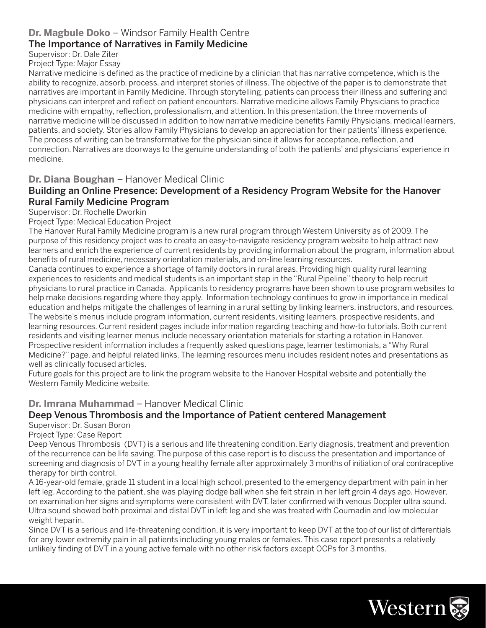#### **Dr. Magbule Doko** – Windsor Family Health Centre

#### The Importance of Narratives in Family Medicine

#### Supervisor: Dr. Dale Ziter Project Type: Major Essay

Narrative medicine is defined as the practice of medicine by a clinician that has narrative competence, which is the ability to recognize, absorb, process, and interpret stories of illness. The objective of the paper is to demonstrate that narratives are important in Family Medicine. Through storytelling, patients can process their illness and suffering and physicians can interpret and reflect on patient encounters. Narrative medicine allows Family Physicians to practice medicine with empathy, reflection, professionalism, and attention. In this presentation, the three movements of narrative medicine will be discussed in addition to how narrative medicine benefits Family Physicians, medical learners, patients, and society. Stories allow Family Physicians to develop an appreciation for their patients' illness experience. The process of writing can be transformative for the physician since it allows for acceptance, reflection, and connection. Narratives are doorways to the genuine understanding of both the patients' and physicians' experience in medicine.

#### **Dr. Diana Boughan** – Hanover Medical Clinic

#### Building an Online Presence: Development of a Residency Program Website for the Hanover Rural Family Medicine Program

Supervisor: Dr. Rochelle Dworkin

Project Type: Medical Education Project

The Hanover Rural Family Medicine program is a new rural program through Western University as of 2009. The purpose of this residency project was to create an easy-to-navigate residency program website to help attract new learners and enrich the experience of current residents by providing information about the program, information about benefits of rural medicine, necessary orientation materials, and on-line learning resources.

Canada continues to experience a shortage of family doctors in rural areas. Providing high quality rural learning experiences to residents and medical students is an important step in the "Rural Pipeline" theory to help recruit physicians to rural practice in Canada. Applicants to residency programs have been shown to use program websites to help make decisions regarding where they apply. Information technology continues to grow in importance in medical education and helps mitigate the challenges of learning in a rural setting by linking learners, instructors, and resources. The website's menus include program information, current residents, visiting learners, prospective residents, and learning resources. Current resident pages include information regarding teaching and how-to tutorials. Both current residents and visiting learner menus include necessary orientation materials for starting a rotation in Hanover. Prospective resident information includes a frequently asked questions page, learner testimonials, a "Why Rural Medicine?" page, and helpful related links. The learning resources menu includes resident notes and presentations as well as clinically focused articles.

Future goals for this project are to link the program website to the Hanover Hospital website and potentially the Western Family Medicine website.

**Dr. Imrana Muhammad** – Hanover Medical Clinic

# Deep Venous Thrombosis and the Importance of Patient centered Management

Supervisor: Dr. Susan Boron

Project Type: Case Report Deep Venous Thrombosis (DVT) is a serious and life threatening condition. Early diagnosis, treatment and prevention of the recurrence can be life saving. The purpose of this case report is to discuss the presentation and importance of screening and diagnosis of DVT in a young healthy female after approximately 3 months of initiation of oral contraceptive therapy for birth control.

A 16-year-old female, grade 11 student in a local high school, presented to the emergency department with pain in her left leg. According to the patient, she was playing dodge ball when she felt strain in her left groin 4 days ago. However, on examination her signs and symptoms were consistent with DVT, later confirmed with venous Doppler ultra sound. Ultra sound showed both proximal and distal DVT in left leg and she was treated with Coumadin and low molecular weight heparin.

Since DVT is a serious and life-threatening condition, it is very important to keep DVT at the top of our list of differentials for any lower extremity pain in all patients including young males or females. This case report presents a relatively unlikely finding of DVT in a young active female with no other risk factors except OCPs for 3 months.

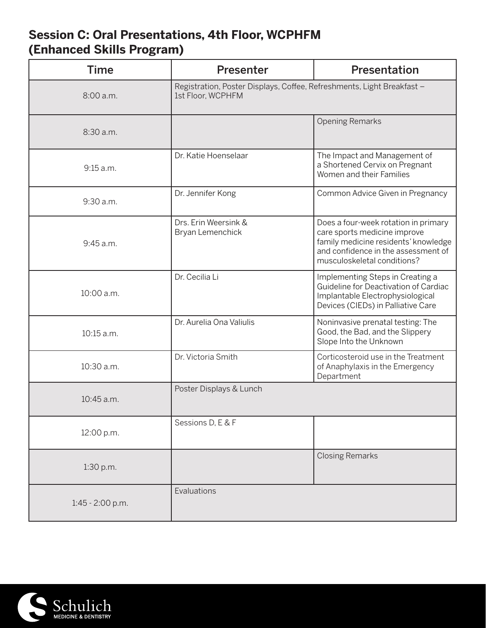# **Session C: Oral Presentations, 4th Floor, WCPHFM (Enhanced Skills Program)**

| <b>Time</b>      | <b>Presenter</b>                                                                            | Presentation                                                                                                                                                                       |
|------------------|---------------------------------------------------------------------------------------------|------------------------------------------------------------------------------------------------------------------------------------------------------------------------------------|
| 8:00 a.m.        | Registration, Poster Displays, Coffee, Refreshments, Light Breakfast -<br>1st Floor, WCPHFM |                                                                                                                                                                                    |
| 8:30 a.m.        |                                                                                             | <b>Opening Remarks</b>                                                                                                                                                             |
| 9:15 a.m.        | Dr. Katie Hoenselaar                                                                        | The Impact and Management of<br>a Shortened Cervix on Pregnant<br>Women and their Families                                                                                         |
| 9:30 a.m.        | Dr. Jennifer Kong                                                                           | Common Advice Given in Pregnancy                                                                                                                                                   |
| 9:45 a.m.        | Drs. Erin Weersink &<br>Bryan Lemenchick                                                    | Does a four-week rotation in primary<br>care sports medicine improve<br>family medicine residents' knowledge<br>and confidence in the assessment of<br>musculoskeletal conditions? |
| 10:00 a.m.       | Dr. Cecilia Li                                                                              | Implementing Steps in Creating a<br>Guideline for Deactivation of Cardiac<br>Implantable Electrophysiological<br>Devices (CIEDs) in Palliative Care                                |
| 10:15 a.m.       | Dr. Aurelia Ona Valiulis                                                                    | Noninvasive prenatal testing: The<br>Good, the Bad, and the Slippery<br>Slope Into the Unknown                                                                                     |
| 10:30 a.m.       | Dr. Victoria Smith                                                                          | Corticosteroid use in the Treatment<br>of Anaphylaxis in the Emergency<br>Department                                                                                               |
| 10:45 a.m.       | Poster Displays & Lunch                                                                     |                                                                                                                                                                                    |
| 12:00 p.m.       | Sessions D, E & F                                                                           |                                                                                                                                                                                    |
| 1:30 p.m.        |                                                                                             | <b>Closing Remarks</b>                                                                                                                                                             |
| 1:45 - 2:00 p.m. | Evaluations                                                                                 |                                                                                                                                                                                    |

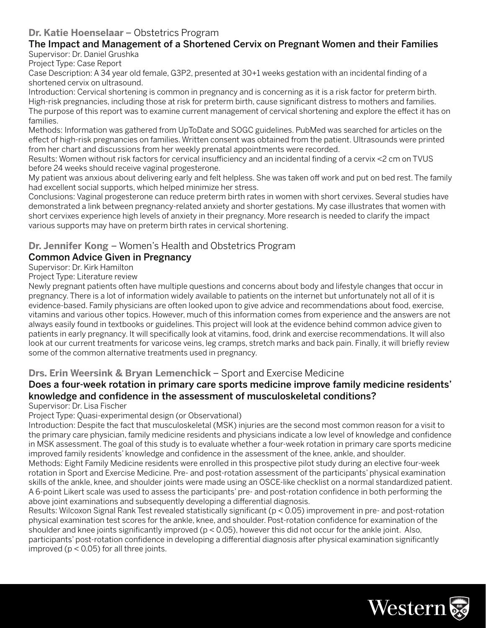#### **Dr. Katie Hoenselaar** – Obstetrics Program

#### The Impact and Management of a Shortened Cervix on Pregnant Women and their Families Supervisor: Dr. Daniel Grushka

Project Type: Case Report

Case Description: A 34 year old female, G3P2, presented at 30+1 weeks gestation with an incidental finding of a shortened cervix on ultrasound.

Introduction: Cervical shortening is common in pregnancy and is concerning as it is a risk factor for preterm birth. High-risk pregnancies, including those at risk for preterm birth, cause significant distress to mothers and families. The purpose of this report was to examine current management of cervical shortening and explore the effect it has on families.

Methods: Information was gathered from UpToDate and SOGC guidelines. PubMed was searched for articles on the effect of high-risk pregnancies on families. Written consent was obtained from the patient. Ultrasounds were printed from her chart and discussions from her weekly prenatal appointments were recorded.

Results: Women without risk factors for cervical insufficiency and an incidental finding of a cervix <2 cm on TVUS before 24 weeks should receive vaginal progesterone.

My patient was anxious about delivering early and felt helpless. She was taken off work and put on bed rest. The family had excellent social supports, which helped minimize her stress.

Conclusions: Vaginal progesterone can reduce preterm birth rates in women with short cervixes. Several studies have demonstrated a link between pregnancy-related anxiety and shorter gestations. My case illustrates that women with short cervixes experience high levels of anxiety in their pregnancy. More research is needed to clarify the impact various supports may have on preterm birth rates in cervical shortening.

#### **Dr. Jennifer Kong** – Women's Health and Obstetrics Program

#### Common Advice Given in Pregnancy

Supervisor: Dr. Kirk Hamilton

Project Type: Literature review

Newly pregnant patients often have multiple questions and concerns about body and lifestyle changes that occur in pregnancy. There is a lot of information widely available to patients on the internet but unfortunately not all of it is evidence-based. Family physicians are often looked upon to give advice and recommendations about food, exercise, vitamins and various other topics. However, much of this information comes from experience and the answers are not always easily found in textbooks or guidelines. This project will look at the evidence behind common advice given to patients in early pregnancy. It will specifically look at vitamins, food, drink and exercise recommendations. It will also look at our current treatments for varicose veins, leg cramps, stretch marks and back pain. Finally, it will briefly review some of the common alternative treatments used in pregnancy.

#### **Drs. Erin Weersink & Bryan Lemenchick** – Sport and Exercise Medicine

#### Does a four-week rotation in primary care sports medicine improve family medicine residents' knowledge and confidence in the assessment of musculoskeletal conditions?

#### Supervisor: Dr. Lisa Fischer

Project Type: Quasi-experimental design (or Observational)

Introduction: Despite the fact that musculoskeletal (MSK) injuries are the second most common reason for a visit to the primary care physician, family medicine residents and physicians indicate a low level of knowledge and confidence in MSK assessment. The goal of this study is to evaluate whether a four-week rotation in primary care sports medicine improved family residents' knowledge and confidence in the assessment of the knee, ankle, and shoulder.

Methods: Eight Family Medicine residents were enrolled in this prospective pilot study during an elective four-week rotation in Sport and Exercise Medicine. Pre- and post-rotation assessment of the participants' physical examination skills of the ankle, knee, and shoulder joints were made using an OSCE-like checklist on a normal standardized patient. A 6-point Likert scale was used to assess the participants' pre- and post-rotation confidence in both performing the above joint examinations and subsequently developing a differential diagnosis.

Results: Wilcoxon Signal Rank Test revealed statistically significant (p < 0.05) improvement in pre- and post-rotation physical examination test scores for the ankle, knee, and shoulder. Post-rotation confidence for examination of the shoulder and knee joints significantly improved ( $p < 0.05$ ), however this did not occur for the ankle joint. Also, participants' post-rotation confidence in developing a differential diagnosis after physical examination significantly improved ( $p < 0.05$ ) for all three joints.

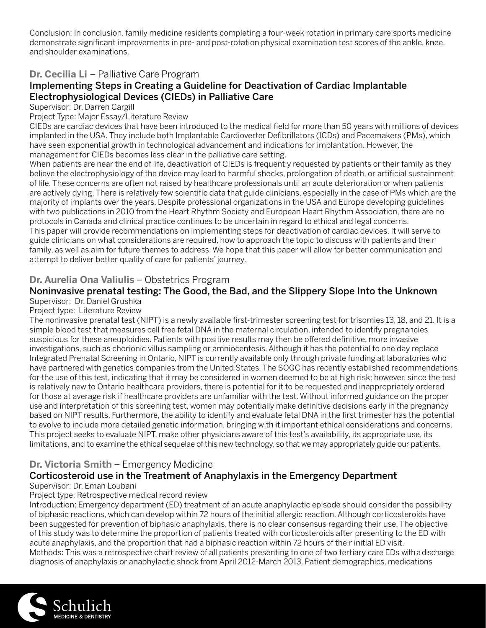Conclusion: In conclusion, family medicine residents completing a four-week rotation in primary care sports medicine demonstrate significant improvements in pre- and post-rotation physical examination test scores of the ankle, knee, and shoulder examinations.

#### **Dr. Cecilia Li** – Palliative Care Program

#### Implementing Steps in Creating a Guideline for Deactivation of Cardiac Implantable Electrophysiological Devices (CIEDs) in Palliative Care

Supervisor: Dr. Darren Cargill

Project Type: Major Essay/Literature Review

CIEDs are cardiac devices that have been introduced to the medical field for more than 50 years with millions of devices implanted in the USA. They include both Implantable Cardioverter Defibrillators (ICDs) and Pacemakers (PMs), which have seen exponential growth in technological advancement and indications for implantation. However, the management for CIEDs becomes less clear in the palliative care setting.

When patients are near the end of life, deactivation of CIEDs is frequently requested by patients or their family as they believe the electrophysiology of the device may lead to harmful shocks, prolongation of death, or artificial sustainment of life. These concerns are often not raised by healthcare professionals until an acute deterioration or when patients are actively dying. There is relatively few scientific data that guide clinicians, especially in the case of PMs which are the majority of implants over the years. Despite professional organizations in the USA and Europe developing guidelines with two publications in 2010 from the Heart Rhythm Society and European Heart Rhythm Association, there are no protocols in Canada and clinical practice continues to be uncertain in regard to ethical and legal concerns. This paper will provide recommendations on implementing steps for deactivation of cardiac devices. It will serve to guide clinicians on what considerations are required, how to approach the topic to discuss with patients and their family, as well as aim for future themes to address. We hope that this paper will allow for better communication and attempt to deliver better quality of care for patients' journey.

#### **Dr. Aurelia Ona Valiulis** – Obstetrics Program

#### Noninvasive prenatal testing: The Good, the Bad, and the Slippery Slope Into the Unknown

# Supervisor: Dr. Daniel Grushka

#### Project type: Literature Review

The noninvasive prenatal test (NIPT) is a newly available first-trimester screening test for trisomies 13, 18, and 21. It is a simple blood test that measures cell free fetal DNA in the maternal circulation, intended to identify pregnancies suspicious for these aneuploidies. Patients with positive results may then be offered definitive, more invasive investigations, such as chorionic villus sampling or amniocentesis. Although it has the potential to one day replace Integrated Prenatal Screening in Ontario, NIPT is currently available only through private funding at laboratories who have partnered with genetics companies from the United States. The SOGC has recently established recommendations for the use of this test, indicating that it may be considered in women deemed to be at high risk; however, since the test is relatively new to Ontario healthcare providers, there is potential for it to be requested and inappropriately ordered for those at average risk if healthcare providers are unfamiliar with the test. Without informed guidance on the proper use and interpretation of this screening test, women may potentially make definitive decisions early in the pregnancy based on NIPT results. Furthermore, the ability to identify and evaluate fetal DNA in the first trimester has the potential to evolve to include more detailed genetic information, bringing with it important ethical considerations and concerns. This project seeks to evaluate NIPT, make other physicians aware of this test's availability, its appropriate use, its limitations, and to examine the ethical sequelae of this new technology, so that we may appropriately guide our patients.

#### **Dr. Victoria Smith** – Emergency Medicine

#### Corticosteroid use in the Treatment of Anaphylaxis in the Emergency Department

#### Supervisor: Dr. Eman Loubani

#### Project type: Retrospective medical record review

Introduction: Emergency department (ED) treatment of an acute anaphylactic episode should consider the possibility of biphasic reactions, which can develop within 72 hours of the initial allergic reaction. Although corticosteroids have been suggested for prevention of biphasic anaphylaxis, there is no clear consensus regarding their use. The objective of this study was to determine the proportion of patients treated with corticosteroids after presenting to the ED with acute anaphylaxis, and the proportion that had a biphasic reaction within 72 hours of their initial ED visit. Methods: This was a retrospective chart review of all patients presenting to one of two tertiary care EDs with a discharge diagnosis of anaphylaxis or anaphylactic shock from April 2012-March 2013. Patient demographics, medications

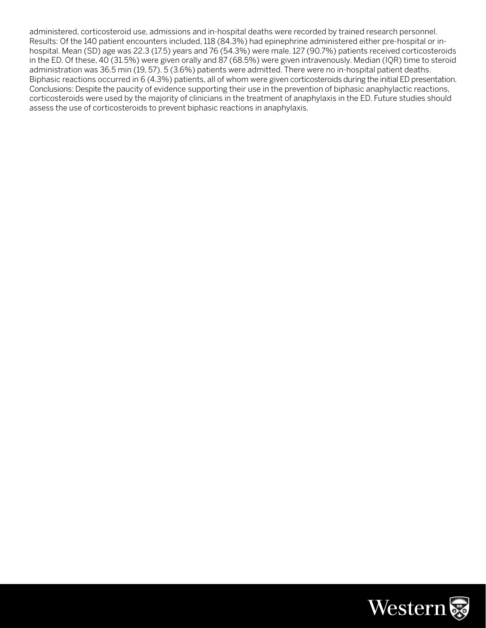administered, corticosteroid use, admissions and in-hospital deaths were recorded by trained research personnel. Results: Of the 140 patient encounters included, 118 (84.3%) had epinephrine administered either pre-hospital or inhospital. Mean (SD) age was 22.3 (17.5) years and 76 (54.3%) were male. 127 (90.7%) patients received corticosteroids in the ED. Of these, 40 (31.5%) were given orally and 87 (68.5%) were given intravenously. Median (IQR) time to steroid administration was 36.5 min (19, 57). 5 (3.6%) patients were admitted. There were no in-hospital patient deaths. Biphasic reactions occurred in 6 (4.3%) patients, all of whom were given corticosteroids during the initial ED presentation. Conclusions: Despite the paucity of evidence supporting their use in the prevention of biphasic anaphylactic reactions, corticosteroids were used by the majority of clinicians in the treatment of anaphylaxis in the ED. Future studies should assess the use of corticosteroids to prevent biphasic reactions in anaphylaxis.

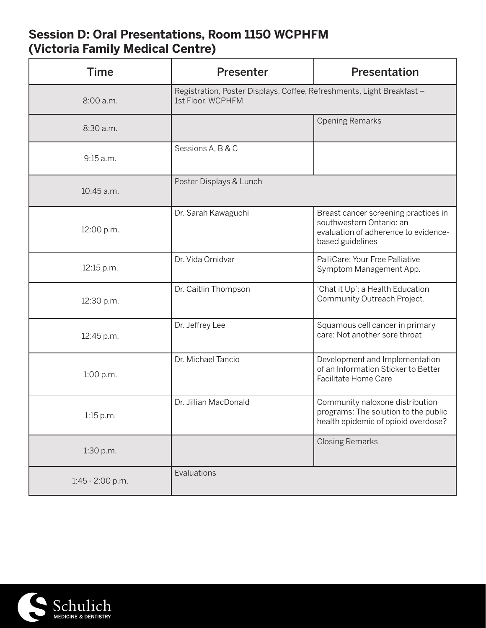# **Session D: Oral Presentations, Room 1150 WCPHFM (Victoria Family Medical Centre)**

| <b>Time</b>      | Presenter                                                                                   | Presentation                                                                                                                 |
|------------------|---------------------------------------------------------------------------------------------|------------------------------------------------------------------------------------------------------------------------------|
| 8:00 a.m.        | Registration, Poster Displays, Coffee, Refreshments, Light Breakfast -<br>1st Floor, WCPHFM |                                                                                                                              |
| 8:30 a.m.        |                                                                                             | <b>Opening Remarks</b>                                                                                                       |
| 9:15 a.m.        | Sessions A, B & C                                                                           |                                                                                                                              |
| 10:45 a.m.       | Poster Displays & Lunch                                                                     |                                                                                                                              |
| 12:00 p.m.       | Dr. Sarah Kawaguchi                                                                         | Breast cancer screening practices in<br>southwestern Ontario: an<br>evaluation of adherence to evidence-<br>based guidelines |
| 12:15 p.m.       | Dr. Vida Omidvar                                                                            | PalliCare: Your Free Palliative<br>Symptom Management App.                                                                   |
| 12:30 p.m.       | Dr. Caitlin Thompson                                                                        | 'Chat it Up': a Health Education<br>Community Outreach Project.                                                              |
| 12:45 p.m.       | Dr. Jeffrey Lee                                                                             | Squamous cell cancer in primary<br>care: Not another sore throat                                                             |
| 1:00 p.m.        | Dr. Michael Tancio                                                                          | Development and Implementation<br>of an Information Sticker to Better<br>Facilitate Home Care                                |
| 1:15 p.m.        | Dr. Jillian MacDonald                                                                       | Community naloxone distribution<br>programs: The solution to the public<br>health epidemic of opioid overdose?               |
| 1:30 p.m.        |                                                                                             | <b>Closing Remarks</b>                                                                                                       |
| 1:45 - 2:00 p.m. | Evaluations                                                                                 |                                                                                                                              |

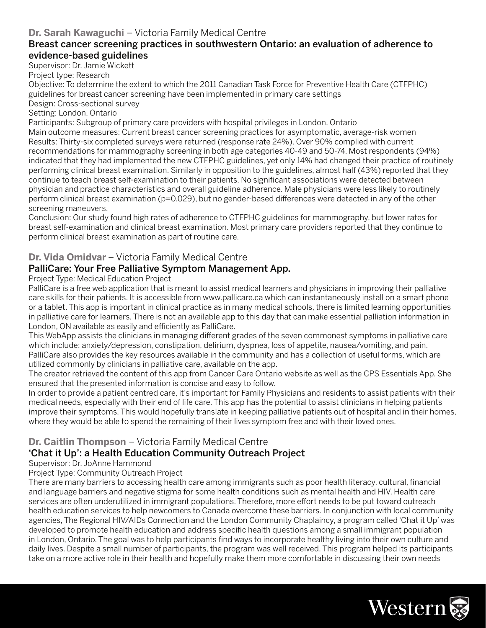#### **Dr. Sarah Kawaguchi** – Victoria Family Medical Centre

#### Breast cancer screening practices in southwestern Ontario: an evaluation of adherence to evidence-based guidelines

Supervisor: Dr. Jamie Wickett

Project type: Research

Objective: To determine the extent to which the 2011 Canadian Task Force for Preventive Health Care (CTFPHC) guidelines for breast cancer screening have been implemented in primary care settings

Design: Cross-sectional survey

Setting: London, Ontario

Participants: Subgroup of primary care providers with hospital privileges in London, Ontario

Main outcome measures: Current breast cancer screening practices for asymptomatic, average-risk women Results: Thirty-six completed surveys were returned (response rate 24%). Over 90% complied with current recommendations for mammography screening in both age categories 40-49 and 50-74. Most respondents (94%) indicated that they had implemented the new CTFPHC guidelines, yet only 14% had changed their practice of routinely performing clinical breast examination. Similarly in opposition to the guidelines, almost half (43%) reported that they continue to teach breast self-examination to their patients. No significant associations were detected between physician and practice characteristics and overall guideline adherence. Male physicians were less likely to routinely perform clinical breast examination (p=0.029), but no gender-based differences were detected in any of the other screening maneuvers.

Conclusion: Our study found high rates of adherence to CTFPHC guidelines for mammography, but lower rates for breast self-examination and clinical breast examination. Most primary care providers reported that they continue to perform clinical breast examination as part of routine care.

#### **Dr. Vida Omidvar** – Victoria Family Medical Centre

#### PalliCare: Your Free Palliative Symptom Management App.

#### Project Type: Medical Education Project

PalliCare is a free web application that is meant to assist medical learners and physicians in improving their palliative care skills for their patients. It is accessible from www.pallicare.ca which can instantaneously install on a smart phone or a tablet. This app is important in clinical practice as in many medical schools, there is limited learning opportunities in palliative care for learners. There is not an available app to this day that can make essential palliation information in London, ON available as easily and efficiently as PalliCare.

This WebApp assists the clinicians in managing different grades of the seven commonest symptoms in palliative care which include: anxiety/depression, constipation, delirium, dyspnea, loss of appetite, nausea/vomiting, and pain. PalliCare also provides the key resources available in the community and has a collection of useful forms, which are utilized commonly by clinicians in palliative care, available on the app.

The creator retrieved the content of this app from Cancer Care Ontario website as well as the CPS Essentials App. She ensured that the presented information is concise and easy to follow.

In order to provide a patient centred care, it's important for Family Physicians and residents to assist patients with their medical needs, especially with their end of life care. This app has the potential to assist clinicians in helping patients improve their symptoms. This would hopefully translate in keeping palliative patients out of hospital and in their homes, where they would be able to spend the remaining of their lives symptom free and with their loved ones.

#### **Dr. Caitlin Thompson** – Victoria Family Medical Centre 'Chat it Up': a Health Education Community Outreach Project

Supervisor: Dr. JoAnne Hammond

#### Project Type: Community Outreach Project

There are many barriers to accessing health care among immigrants such as poor health literacy, cultural, financial and language barriers and negative stigma for some health conditions such as mental health and HIV. Health care services are often underutilized in immigrant populations. Therefore, more effort needs to be put toward outreach health education services to help newcomers to Canada overcome these barriers. In conjunction with local community agencies, The Regional HIV/AIDs Connection and the London Community Chaplaincy, a program called 'Chat it Up' was developed to promote health education and address specific health questions among a small immigrant population in London, Ontario. The goal was to help participants find ways to incorporate healthy living into their own culture and daily lives. Despite a small number of participants, the program was well received. This program helped its participants take on a more active role in their health and hopefully make them more comfortable in discussing their own needs

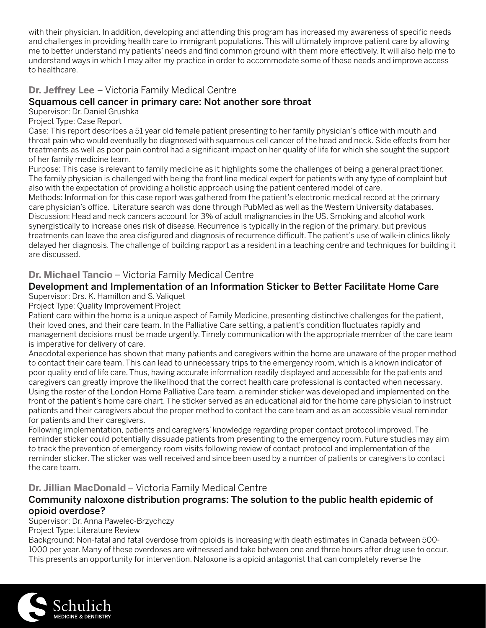with their physician. In addition, developing and attending this program has increased my awareness of specific needs and challenges in providing health care to immigrant populations. This will ultimately improve patient care by allowing me to better understand my patients' needs and find common ground with them more effectively. It will also help me to understand ways in which I may alter my practice in order to accommodate some of these needs and improve access to healthcare.

#### **Dr. Jeffrey Lee** – Victoria Family Medical Centre

#### Squamous cell cancer in primary care: Not another sore throat

Supervisor: Dr. Daniel Grushka

Project Type: Case Report

Case: This report describes a 51 year old female patient presenting to her family physician's office with mouth and throat pain who would eventually be diagnosed with squamous cell cancer of the head and neck. Side effects from her treatments as well as poor pain control had a significant impact on her quality of life for which she sought the support of her family medicine team.

Purpose: This case is relevant to family medicine as it highlights some the challenges of being a general practitioner. The family physician is challenged with being the front line medical expert for patients with any type of complaint but also with the expectation of providing a holistic approach using the patient centered model of care.

Methods: Information for this case report was gathered from the patient's electronic medical record at the primary care physician's office. Literature search was done through PubMed as well as the Western University databases. Discussion: Head and neck cancers account for 3% of adult malignancies in the US. Smoking and alcohol work synergistically to increase ones risk of disease. Recurrence is typically in the region of the primary, but previous treatments can leave the area disfigured and diagnosis of recurrence difficult. The patient's use of walk-in clinics likely delayed her diagnosis. The challenge of building rapport as a resident in a teaching centre and techniques for building it are discussed.

#### **Dr. Michael Tancio** – Victoria Family Medical Centre

#### Development and Implementation of an Information Sticker to Better Facilitate Home Care

Supervisor: Drs. K. Hamilton and S. Valiquet

Project Type: Quality Improvement Project

Patient care within the home is a unique aspect of Family Medicine, presenting distinctive challenges for the patient, their loved ones, and their care team. In the Palliative Care setting, a patient's condition fluctuates rapidly and management decisions must be made urgently. Timely communication with the appropriate member of the care team is imperative for delivery of care.

Anecdotal experience has shown that many patients and caregivers within the home are unaware of the proper method to contact their care team. This can lead to unnecessary trips to the emergency room, which is a known indicator of poor quality end of life care. Thus, having accurate information readily displayed and accessible for the patients and caregivers can greatly improve the likelihood that the correct health care professional is contacted when necessary. Using the roster of the London Home Palliative Care team, a reminder sticker was developed and implemented on the front of the patient's home care chart. The sticker served as an educational aid for the home care physician to instruct patients and their caregivers about the proper method to contact the care team and as an accessible visual reminder for patients and their caregivers.

Following implementation, patients and caregivers' knowledge regarding proper contact protocol improved. The reminder sticker could potentially dissuade patients from presenting to the emergency room. Future studies may aim to track the prevention of emergency room visits following review of contact protocol and implementation of the reminder sticker. The sticker was well received and since been used by a number of patients or caregivers to contact the care team.

#### **Dr. Jillian MacDonald** – Victoria Family Medical Centre

#### Community naloxone distribution programs: The solution to the public health epidemic of opioid overdose?

Supervisor: Dr. Anna Pawelec-Brzychczy

Project Type: Literature Review

Background: Non-fatal and fatal overdose from opioids is increasing with death estimates in Canada between 500- 1000 per year. Many of these overdoses are witnessed and take between one and three hours after drug use to occur. This presents an opportunity for intervention. Naloxone is a opioid antagonist that can completely reverse the

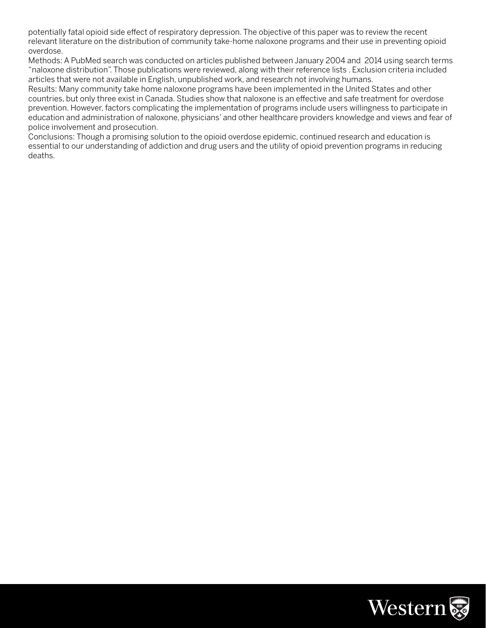potentially fatal opioid side effect of respiratory depression. The objective of this paper was to review the recent relevant literature on the distribution of community take-home naloxone programs and their use in preventing opioid overdose.

Methods: A PubMed search was conducted on articles published between January 2004 and 2014 using search terms "naloxone distribution". Those publications were reviewed, along with their reference lists . Exclusion criteria included articles that were not available in English, unpublished work, and research not involving humans.

Results: Many community take home naloxone programs have been implemented in the United States and other countries, but only three exist in Canada. Studies show that naloxone is an effective and safe treatment for overdose prevention. However, factors complicating the implementation of programs include users willingness to participate in education and administration of naloxone, physicians' and other healthcare providers knowledge and views and fear of police involvement and prosecution.

Conclusions: Though a promising solution to the opioid overdose epidemic, continued research and education is essential to our understanding of addiction and drug users and the utility of opioid prevention programs in reducing deaths.

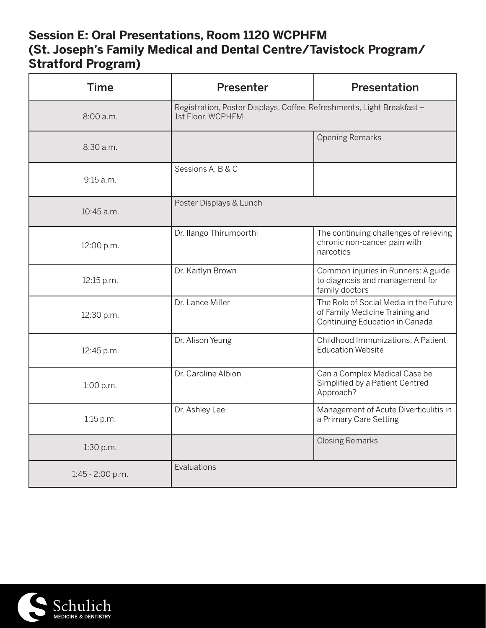# **Session E: Oral Presentations, Room 1120 WCPHFM (St. Joseph's Family Medical and Dental Centre/Tavistock Program/ Stratford Program)**

| <b>Time</b>        | Presenter                                                                                   | Presentation                                                                                                |
|--------------------|---------------------------------------------------------------------------------------------|-------------------------------------------------------------------------------------------------------------|
| 8:00 a.m.          | Registration, Poster Displays, Coffee, Refreshments, Light Breakfast -<br>1st Floor, WCPHFM |                                                                                                             |
| 8:30 a.m.          |                                                                                             | <b>Opening Remarks</b>                                                                                      |
| 9:15 a.m.          | Sessions A, B & C                                                                           |                                                                                                             |
| $10:45$ a.m.       | Poster Displays & Lunch                                                                     |                                                                                                             |
| 12:00 p.m.         | Dr. Ilango Thirumoorthi                                                                     | The continuing challenges of relieving<br>chronic non-cancer pain with<br>narcotics                         |
| 12:15 p.m.         | Dr. Kaitlyn Brown                                                                           | Common injuries in Runners: A guide<br>to diagnosis and management for<br>family doctors                    |
| 12:30 p.m.         | Dr. Lance Miller                                                                            | The Role of Social Media in the Future<br>of Family Medicine Training and<br>Continuing Education in Canada |
| 12:45 p.m.         | Dr. Alison Yeung                                                                            | Childhood Immunizations: A Patient<br><b>Education Website</b>                                              |
| 1:00 p.m.          | Dr. Caroline Albion                                                                         | Can a Complex Medical Case be<br>Simplified by a Patient Centred<br>Approach?                               |
| 1:15 p.m.          | Dr. Ashley Lee                                                                              | Management of Acute Diverticulitis in<br>a Primary Care Setting                                             |
| 1:30 p.m.          |                                                                                             | <b>Closing Remarks</b>                                                                                      |
| $1:45 - 2:00$ p.m. | Evaluations                                                                                 |                                                                                                             |

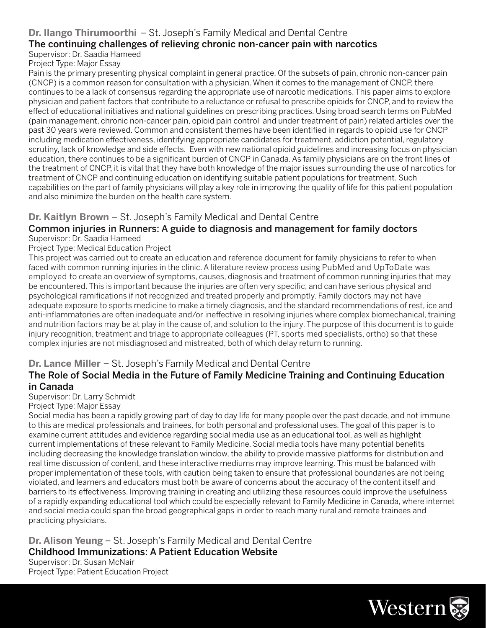#### **Dr. Ilango Thirumoorthi** – St. Joseph's Family Medical and Dental Centre

#### The continuing challenges of relieving chronic non-cancer pain with narcotics Supervisor: Dr. Saadia Hameed

#### Project Type: Major Essay

Pain is the primary presenting physical complaint in general practice. Of the subsets of pain, chronic non-cancer pain (CNCP) is a common reason for consultation with a physician. When it comes to the management of CNCP, there continues to be a lack of consensus regarding the appropriate use of narcotic medications. This paper aims to explore physician and patient factors that contribute to a reluctance or refusal to prescribe opioids for CNCP, and to review the effect of educational initiatives and national guidelines on prescribing practices. Using broad search terms on PubMed (pain management, chronic non-cancer pain, opioid pain control and under treatment of pain) related articles over the past 30 years were reviewed. Common and consistent themes have been identified in regards to opioid use for CNCP including medication effectiveness, identifying appropriate candidates for treatment, addiction potential, regulatory scrutiny, lack of knowledge and side effects. Even with new national opioid guidelines and increasing focus on physician education, there continues to be a significant burden of CNCP in Canada. As family physicians are on the front lines of the treatment of CNCP, it is vital that they have both knowledge of the major issues surrounding the use of narcotics for treatment of CNCP and continuing education on identifying suitable patient populations for treatment. Such capabilities on the part of family physicians will play a key role in improving the quality of life for this patient population and also minimize the burden on the health care system.

#### **Dr. Kaitlyn Brown** – St. Joseph's Family Medical and Dental Centre

#### Common injuries in Runners: A guide to diagnosis and management for family doctors Supervisor: Dr. Saadia Hameed

#### Project Type: Medical Education Project

This project was carried out to create an education and reference document for family physicians to refer to when faced with common running injuries in the clinic. A literature review process using PubMed and UpToDate was employed to create an overview of symptoms, causes, diagnosis and treatment of common running injuries that may be encountered. This is important because the injuries are often very specific, and can have serious physical and psychological ramifications if not recognized and treated properly and promptly. Family doctors may not have adequate exposure to sports medicine to make a timely diagnosis, and the standard recommendations of rest, ice and anti-inflammatories are often inadequate and/or ineffective in resolving injuries where complex biomechanical, training and nutrition factors may be at play in the cause of, and solution to the injury. The purpose of this document is to guide injury recognition, treatment and triage to appropriate colleagues (PT, sports med specialists, ortho) so that these complex injuries are not misdiagnosed and mistreated, both of which delay return to running.

#### **Dr. Lance Miller** – St. Joseph's Family Medical and Dental Centre

#### The Role of Social Media in the Future of Family Medicine Training and Continuing Education in Canada

#### Supervisor: Dr. Larry Schmidt

#### Project Type: Major Essay

Social media has been a rapidly growing part of day to day life for many people over the past decade, and not immune to this are medical professionals and trainees, for both personal and professional uses. The goal of this paper is to examine current attitudes and evidence regarding social media use as an educational tool, as well as highlight current implementations of these relevant to Family Medicine. Social media tools have many potential benefits including decreasing the knowledge translation window, the ability to provide massive platforms for distribution and real time discussion of content, and these interactive mediums may improve learning. This must be balanced with proper implementation of these tools, with caution being taken to ensure that professional boundaries are not being violated, and learners and educators must both be aware of concerns about the accuracy of the content itself and barriers to its effectiveness. Improving training in creating and utilizing these resources could improve the usefulness of a rapidly expanding educational tool which could be especially relevant to Family Medicine in Canada, where internet and social media could span the broad geographical gaps in order to reach many rural and remote trainees and practicing physicians.

# **Dr. Alison Yeung** – St. Joseph's Family Medical and Dental Centre Childhood Immunizations: A Patient Education Website

Supervisor: Dr. Susan McNair Project Type: Patient Education Project

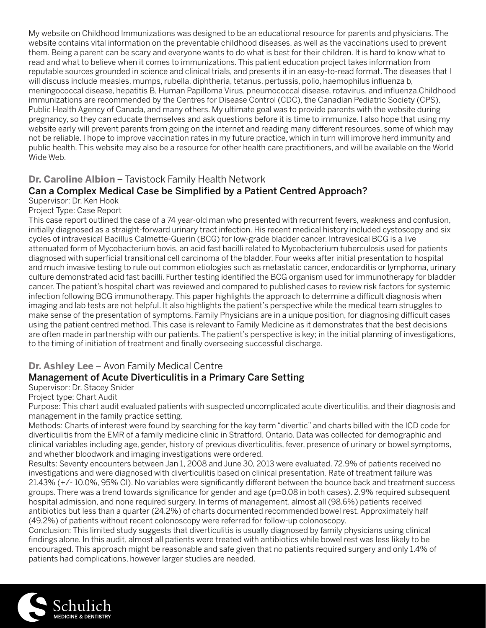My website on Childhood Immunizations was designed to be an educational resource for parents and physicians. The website contains vital information on the preventable childhood diseases, as well as the vaccinations used to prevent them. Being a parent can be scary and everyone wants to do what is best for their children. It is hard to know what to read and what to believe when it comes to immunizations. This patient education project takes information from reputable sources grounded in science and clinical trials, and presents it in an easy-to-read format. The diseases that I will discuss include measles, mumps, rubella, diphtheria, tetanus, pertussis, polio, haemophilus influenza b, meningococcal disease, hepatitis B, Human Papilloma Virus, pneumococcal disease, rotavirus, and influenza.Childhood immunizations are recommended by the Centres for Disease Control (CDC), the Canadian Pediatric Society (CPS), Public Health Agency of Canada, and many others. My ultimate goal was to provide parents with the website during pregnancy, so they can educate themselves and ask questions before it is time to immunize. I also hope that using my website early will prevent parents from going on the internet and reading many different resources, some of which may not be reliable. I hope to improve vaccination rates in my future practice, which in turn will improve herd immunity and public health. This website may also be a resource for other health care practitioners, and will be available on the World Wide Web.

#### **Dr. Caroline Albion** – Tavistock Family Health Network

#### Can a Complex Medical Case be Simplified by a Patient Centred Approach?

Supervisor: Dr. Ken Hook Project Type: Case Report

This case report outlined the case of a 74 year-old man who presented with recurrent fevers, weakness and confusion, initially diagnosed as a straight-forward urinary tract infection. His recent medical history included cystoscopy and six cycles of intravesical Bacillus Calmette-Guerin (BCG) for low-grade bladder cancer. Intravesical BCG is a live attenuated form of Mycobacterium bovis, an acid fast bacilli related to Mycobacterium tuberculosis used for patients diagnosed with superficial transitional cell carcinoma of the bladder. Four weeks after initial presentation to hospital and much invasive testing to rule out common etiologies such as metastatic cancer, endocarditis or lymphoma, urinary culture demonstrated acid fast bacilli. Further testing identified the BCG organism used for immunotherapy for bladder cancer. The patient's hospital chart was reviewed and compared to published cases to review risk factors for systemic infection following BCG immunotherapy. This paper highlights the approach to determine a difficult diagnosis when imaging and lab tests are not helpful. It also highlights the patient's perspective while the medical team struggles to make sense of the presentation of symptoms. Family Physicians are in a unique position, for diagnosing difficult cases using the patient centred method. This case is relevant to Family Medicine as it demonstrates that the best decisions are often made in partnership with our patients. The patient's perspective is key; in the initial planning of investigations, to the timing of initiation of treatment and finally overseeing successful discharge.

#### **Dr. Ashley Lee** – Avon Family Medical Centre

#### Management of Acute Diverticulitis in a Primary Care Setting

#### Supervisor: Dr. Stacey Snider

Project type: Chart Audit

Purpose: This chart audit evaluated patients with suspected uncomplicated acute diverticulitis, and their diagnosis and management in the family practice setting.

Methods: Charts of interest were found by searching for the key term "divertic" and charts billed with the ICD code for diverticulitis from the EMR of a family medicine clinic in Stratford, Ontario. Data was collected for demographic and clinical variables including age, gender, history of previous diverticulitis, fever, presence of urinary or bowel symptoms, and whether bloodwork and imaging investigations were ordered.

Results: Seventy encounters between Jan 1, 2008 and June 30, 2013 were evaluated. 72.9% of patients received no investigations and were diagnosed with diverticulitis based on clinical presentation. Rate of treatment failure was 21.43% (+/- 10.0%, 95% CI). No variables were significantly different between the bounce back and treatment success groups. There was a trend towards significance for gender and age (p=0.08 in both cases). 2.9% required subsequent hospital admission, and none required surgery. In terms of management, almost all (98.6%) patients received antibiotics but less than a quarter (24.2%) of charts documented recommended bowel rest. Approximately half (49.2%) of patients without recent colonoscopy were referred for follow-up colonoscopy.

Conclusion: This limited study suggests that diverticulitis is usually diagnosed by family physicians using clinical findings alone. In this audit, almost all patients were treated with antibiotics while bowel rest was less likely to be encouraged. This approach might be reasonable and safe given that no patients required surgery and only 1.4% of patients had complications, however larger studies are needed.

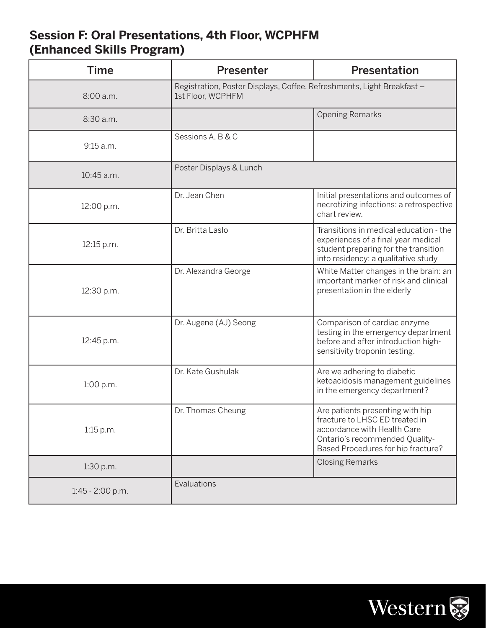# **Session F: Oral Presentations, 4th Floor, WCPHFM (Enhanced Skills Program)**

| <b>Time</b>        | Presenter                                                                                   | <b>Presentation</b>                                                                                                                                                       |
|--------------------|---------------------------------------------------------------------------------------------|---------------------------------------------------------------------------------------------------------------------------------------------------------------------------|
| 8:00 a.m.          | Registration, Poster Displays, Coffee, Refreshments, Light Breakfast -<br>1st Floor, WCPHFM |                                                                                                                                                                           |
| 8:30 a.m.          |                                                                                             | <b>Opening Remarks</b>                                                                                                                                                    |
| 9:15 a.m.          | Sessions A, B & C                                                                           |                                                                                                                                                                           |
| 10:45 a.m.         | Poster Displays & Lunch                                                                     |                                                                                                                                                                           |
| 12:00 p.m.         | Dr. Jean Chen                                                                               | Initial presentations and outcomes of<br>necrotizing infections: a retrospective<br>chart review.                                                                         |
| 12:15 p.m.         | Dr. Britta Laslo                                                                            | Transitions in medical education - the<br>experiences of a final year medical<br>student preparing for the transition<br>into residency: a qualitative study              |
| 12:30 p.m.         | Dr. Alexandra George                                                                        | White Matter changes in the brain: an<br>important marker of risk and clinical<br>presentation in the elderly                                                             |
| 12:45 p.m.         | Dr. Augene (AJ) Seong                                                                       | Comparison of cardiac enzyme<br>testing in the emergency department<br>before and after introduction high-<br>sensitivity troponin testing.                               |
| 1:00 p.m.          | Dr. Kate Gushulak                                                                           | Are we adhering to diabetic<br>ketoacidosis management guidelines<br>in the emergency department?                                                                         |
| $1:15$ p.m.        | Dr. Thomas Cheung                                                                           | Are patients presenting with hip<br>fracture to LHSC ED treated in<br>accordance with Health Care<br>Ontario's recommended Quality-<br>Based Procedures for hip fracture? |
| 1:30 p.m.          |                                                                                             | <b>Closing Remarks</b>                                                                                                                                                    |
| $1:45 - 2:00$ p.m. | Evaluations                                                                                 |                                                                                                                                                                           |

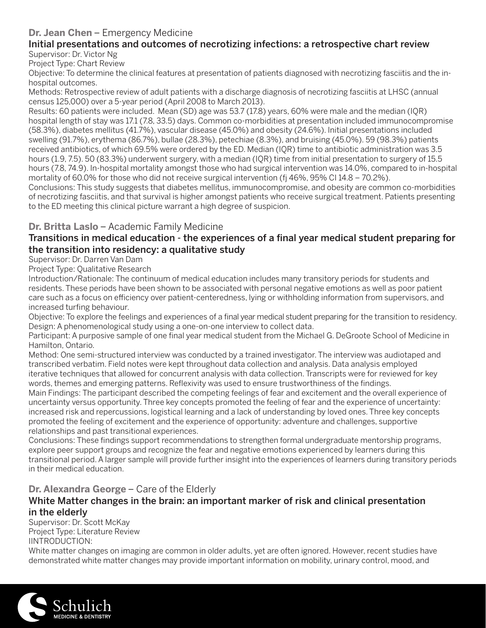#### **Dr. Jean Chen** – Emergency Medicine

#### Initial presentations and outcomes of necrotizing infections: a retrospective chart review Supervisor: Dr. Victor Ng

Project Type: Chart Review

Objective: To determine the clinical features at presentation of patients diagnosed with necrotizing fasciitis and the inhospital outcomes.

Methods: Retrospective review of adult patients with a discharge diagnosis of necrotizing fasciitis at LHSC (annual census 125,000) over a 5-year period (April 2008 to March 2013).

Results: 60 patients were included. Mean (SD) age was 53.7 (17.8) years, 60% were male and the median (IQR) hospital length of stay was 17.1 (7.8, 33.5) days. Common co-morbidities at presentation included immunocompromise (58.3%), diabetes mellitus (41.7%), vascular disease (45.0%) and obesity (24.6%). Initial presentations included swelling (91.7%), erythema (86.7%), bullae (28.3%), petechiae (8.3%), and bruising (45.0%). 59 (98.3%) patients received antibiotics, of which 69.5% were ordered by the ED. Median (IQR) time to antibiotic administration was 3.5 hours (1.9, 7.5). 50 (83.3%) underwent surgery, with a median (IQR) time from initial presentation to surgery of 15.5 hours (7.8, 74.9). In-hospital mortality amongst those who had surgical intervention was 14.0%, compared to in-hospital mortality of 60.0% for those who did not receive surgical intervention (fi 46%, 95% CI 14.8 – 70.2%).

Conclusions: This study suggests that diabetes mellitus, immunocompromise, and obesity are common co-morbidities of necrotizing fasciitis, and that survival is higher amongst patients who receive surgical treatment. Patients presenting to the ED meeting this clinical picture warrant a high degree of suspicion.

#### **Dr. Britta Laslo** – Academic Family Medicine

#### Transitions in medical education - the experiences of a final year medical student preparing for the transition into residency: a qualitative study

Supervisor: Dr. Darren Van Dam

Project Type: Qualitative Research

Introduction/Rationale: The continuum of medical education includes many transitory periods for students and residents. These periods have been shown to be associated with personal negative emotions as well as poor patient care such as a focus on efficiency over patient-centeredness, lying or withholding information from supervisors, and increased turfing behaviour.

Objective: To explore the feelings and experiences of a final year medical student preparing for the transition to residency. Design: A phenomenological study using a one-on-one interview to collect data.

Participant: A purposive sample of one final year medical student from the Michael G. DeGroote School of Medicine in Hamilton, Ontario.

Method: One semi-structured interview was conducted by a trained investigator. The interview was audiotaped and transcribed verbatim. Field notes were kept throughout data collection and analysis. Data analysis employed iterative techniques that allowed for concurrent analysis with data collection. Transcripts were for reviewed for key words, themes and emerging patterns. Reflexivity was used to ensure trustworthiness of the findings.

Main Findings: The participant described the competing feelings of fear and excitement and the overall experience of uncertainty versus opportunity. Three key concepts promoted the feeling of fear and the experience of uncertainty: increased risk and repercussions, logistical learning and a lack of understanding by loved ones. Three key concepts promoted the feeling of excitement and the experience of opportunity: adventure and challenges, supportive relationships and past transitional experiences.

Conclusions: These findings support recommendations to strengthen formal undergraduate mentorship programs, explore peer support groups and recognize the fear and negative emotions experienced by learners during this transitional period. A larger sample will provide further insight into the experiences of learners during transitory periods in their medical education.

**Dr. Alexandra George** – Care of the Elderly

#### White Matter changes in the brain: an important marker of risk and clinical presentation in the elderly

Supervisor: Dr. Scott McKay Project Type: Literature Review IINTRODUCTION:

White matter changes on imaging are common in older adults, yet are often ignored. However, recent studies have demonstrated white matter changes may provide important information on mobility, urinary control, mood, and

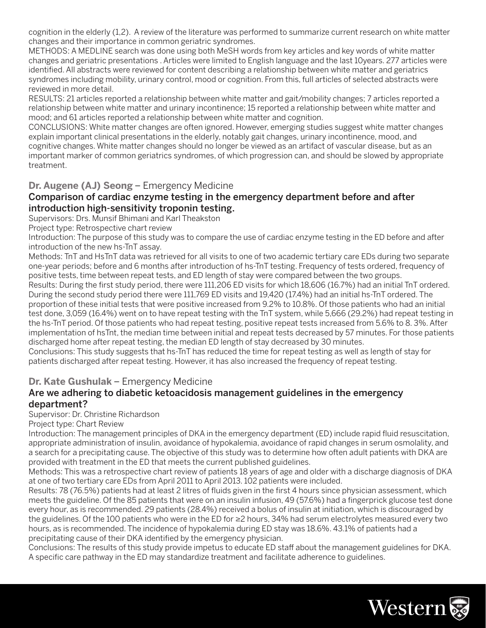cognition in the elderly (1,2). A review of the literature was performed to summarize current research on white matter changes and their importance in common geriatric syndromes.

METHODS: A MEDLINE search was done using both MeSH words from key articles and key words of white matter changes and geriatric presentations . Articles were limited to English language and the last 10years. 277 articles were identified. All abstracts were reviewed for content describing a relationship between white matter and geriatrics syndromes including mobility, urinary control, mood or cognition. From this, full articles of selected abstracts were reviewed in more detail.

RESULTS: 21 articles reported a relationship between white matter and gait/mobility changes; 7 articles reported a relationship between white matter and urinary incontinence; 15 reported a relationship between white matter and mood; and 61 articles reported a relationship between white matter and cognition.

CONCLUSIONS: White matter changes are often ignored. However, emerging studies suggest white matter changes explain important clinical presentations in the elderly, notably gait changes, urinary incontinence, mood, and cognitive changes. White matter changes should no longer be viewed as an artifact of vascular disease, but as an important marker of common geriatrics syndromes, of which progression can, and should be slowed by appropriate treatment.

#### **Dr. Augene (AJ) Seong** – Emergency Medicine

#### Comparison of cardiac enzyme testing in the emergency department before and after introduction high-sensitivity troponin testing.

Supervisors: Drs. Munsif Bhimani and Karl Theakston

Project type: Retrospective chart review

Introduction: The purpose of this study was to compare the use of cardiac enzyme testing in the ED before and after introduction of the new hs-TnT assay.

Methods: TnT and HsTnT data was retrieved for all visits to one of two academic tertiary care EDs during two separate one-year periods; before and 6 months after introduction of hs-TnT testing. Frequency of tests ordered, frequency of positive tests, time between repeat tests, and ED length of stay were compared between the two groups.

Results: During the first study period, there were 111,206 ED visits for which 18,606 (16.7%) had an initial TnT ordered. During the second study period there were 111,769 ED visits and 19,420 (17.4%) had an initial hs-TnT ordered. The proportion of these initial tests that were positive increased from 9.2% to 10.8%. Of those patients who had an initial test done, 3,059 (16.4%) went on to have repeat testing with the TnT system, while 5,666 (29.2%) had repeat testing in the hs-TnT period. Of those patients who had repeat testing, positive repeat tests increased from 5.6% to 8. 3%. After implementation of hsTnt, the median time between initial and repeat tests decreased by 57 minutes. For those patients discharged home after repeat testing, the median ED length of stay decreased by 30 minutes.

Conclusions: This study suggests that hs-TnT has reduced the time for repeat testing as well as length of stay for patients discharged after repeat testing. However, it has also increased the frequency of repeat testing.

#### **Dr. Kate Gushulak** – Emergency Medicine

#### Are we adhering to diabetic ketoacidosis management guidelines in the emergency department?

Supervisor: Dr. Christine Richardson

Project type: Chart Review

Introduction: The management principles of DKA in the emergency department (ED) include rapid fluid resuscitation, appropriate administration of insulin, avoidance of hypokalemia, avoidance of rapid changes in serum osmolality, and a search for a precipitating cause. The objective of this study was to determine how often adult patients with DKA are provided with treatment in the ED that meets the current published guidelines.

Methods: This was a retrospective chart review of patients 18 years of age and older with a discharge diagnosis of DKA at one of two tertiary care EDs from April 2011 to April 2013. 102 patients were included.

Results: 78 (76.5%) patients had at least 2 litres of fluids given in the first 4 hours since physician assessment, which meets the guideline. Of the 85 patients that were on an insulin infusion, 49 (57.6%) had a fingerprick glucose test done every hour, as is recommended. 29 patients (28.4%) received a bolus of insulin at initiation, which is discouraged by the guidelines. Of the 100 patients who were in the ED for ≥2 hours, 34% had serum electrolytes measured every two hours, as is recommended. The incidence of hypokalemia during ED stay was 18.6%. 43.1% of patients had a precipitating cause of their DKA identified by the emergency physician.

Conclusions: The results of this study provide impetus to educate ED staff about the management guidelines for DKA. A specific care pathway in the ED may standardize treatment and facilitate adherence to guidelines.

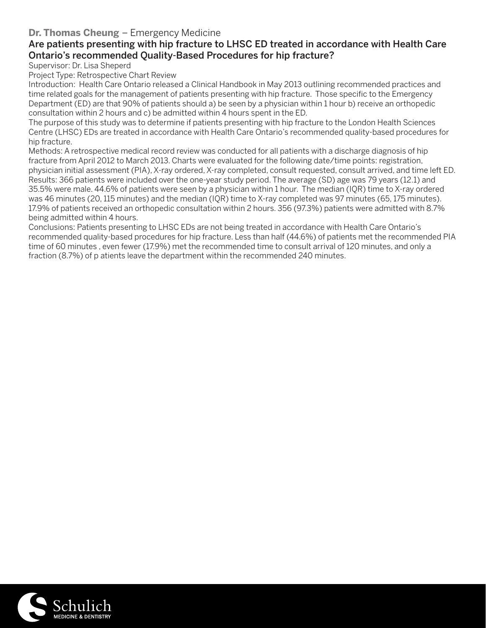#### **Dr. Thomas Cheung** – Emergency Medicine

#### Are patients presenting with hip fracture to LHSC ED treated in accordance with Health Care Ontario's recommended Quality-Based Procedures for hip fracture?

Supervisor: Dr. Lisa Sheperd

Project Type: Retrospective Chart Review

Introduction: Health Care Ontario released a Clinical Handbook in May 2013 outlining recommended practices and time related goals for the management of patients presenting with hip fracture. Those specific to the Emergency Department (ED) are that 90% of patients should a) be seen by a physician within 1 hour b) receive an orthopedic consultation within 2 hours and c) be admitted within 4 hours spent in the ED.

The purpose of this study was to determine if patients presenting with hip fracture to the London Health Sciences Centre (LHSC) EDs are treated in accordance with Health Care Ontario's recommended quality-based procedures for hip fracture.

Methods: A retrospective medical record review was conducted for all patients with a discharge diagnosis of hip fracture from April 2012 to March 2013. Charts were evaluated for the following date/time points: registration, physician initial assessment (PIA), X-ray ordered, X-ray completed, consult requested, consult arrived, and time left ED. Results: 366 patients were included over the one-year study period. The average (SD) age was 79 years (12.1) and 35.5% were male. 44.6% of patients were seen by a physician within 1 hour. The median (IQR) time to X-ray ordered was 46 minutes (20, 115 minutes) and the median (IQR) time to X-ray completed was 97 minutes (65, 175 minutes). 17.9% of patients received an orthopedic consultation within 2 hours. 356 (97.3%) patients were admitted with 8.7% being admitted within 4 hours.

Conclusions: Patients presenting to LHSC EDs are not being treated in accordance with Health Care Ontario's recommended quality-based procedures for hip fracture. Less than half (44.6%) of patients met the recommended PIA time of 60 minutes , even fewer (17.9%) met the recommended time to consult arrival of 120 minutes, and only a fraction (8.7%) of p atients leave the department within the recommended 240 minutes.

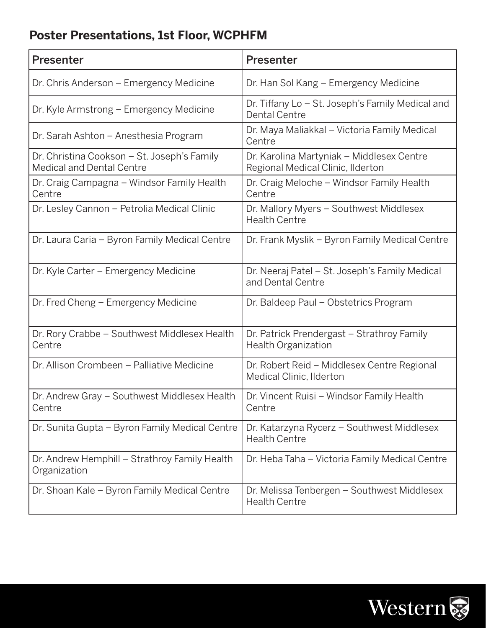# **Poster Presentations, 1st Floor, WCPHFM**

| <b>Presenter</b>                                                                | <b>Presenter</b>                                                               |
|---------------------------------------------------------------------------------|--------------------------------------------------------------------------------|
| Dr. Chris Anderson – Emergency Medicine                                         | Dr. Han Sol Kang – Emergency Medicine                                          |
| Dr. Kyle Armstrong – Emergency Medicine                                         | Dr. Tiffany Lo – St. Joseph's Family Medical and<br><b>Dental Centre</b>       |
| Dr. Sarah Ashton - Anesthesia Program                                           | Dr. Maya Maliakkal – Victoria Family Medical<br>Centre                         |
| Dr. Christina Cookson - St. Joseph's Family<br><b>Medical and Dental Centre</b> | Dr. Karolina Martyniak – Middlesex Centre<br>Regional Medical Clinic, Ilderton |
| Dr. Craig Campagna - Windsor Family Health<br>Centre                            | Dr. Craig Meloche – Windsor Family Health<br>Centre                            |
| Dr. Lesley Cannon - Petrolia Medical Clinic                                     | Dr. Mallory Myers - Southwest Middlesex<br><b>Health Centre</b>                |
| Dr. Laura Caria - Byron Family Medical Centre                                   | Dr. Frank Myslik - Byron Family Medical Centre                                 |
| Dr. Kyle Carter - Emergency Medicine                                            | Dr. Neeraj Patel - St. Joseph's Family Medical<br>and Dental Centre            |
| Dr. Fred Cheng - Emergency Medicine                                             | Dr. Baldeep Paul - Obstetrics Program                                          |
| Dr. Rory Crabbe - Southwest Middlesex Health<br>Centre                          | Dr. Patrick Prendergast - Strathroy Family<br><b>Health Organization</b>       |
| Dr. Allison Crombeen - Palliative Medicine                                      | Dr. Robert Reid - Middlesex Centre Regional<br>Medical Clinic, Ilderton        |
| Dr. Andrew Gray - Southwest Middlesex Health<br>Centre                          | Dr. Vincent Ruisi - Windsor Family Health<br>Centre                            |
| Dr. Sunita Gupta - Byron Family Medical Centre                                  | Dr. Katarzyna Rycerz – Southwest Middlesex<br><b>Health Centre</b>             |
| Dr. Andrew Hemphill - Strathroy Family Health<br>Organization                   | Dr. Heba Taha - Victoria Family Medical Centre                                 |
| Dr. Shoan Kale - Byron Family Medical Centre                                    | Dr. Melissa Tenbergen - Southwest Middlesex<br><b>Health Centre</b>            |

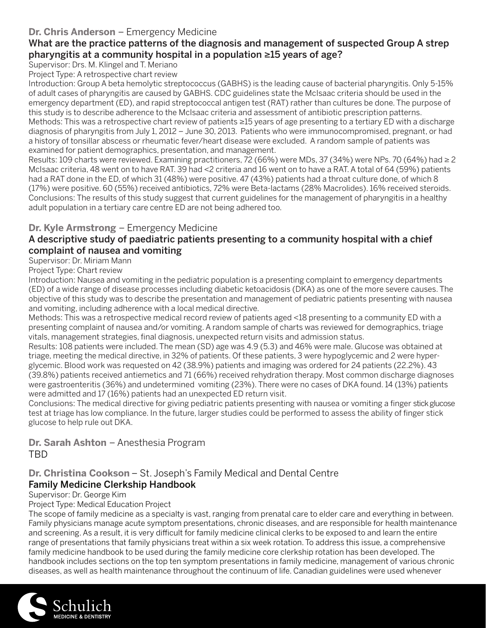# **Dr. Chris Anderson** – Emergency Medicine

# What are the practice patterns of the diagnosis and management of suspected Group A strep pharyngitis at a community hospital in a population ≥15 years of age?

Supervisor: Drs. M. Klingel and T. Meriano

Project Type: A retrospective chart review

Introduction: Group A beta hemolytic streptococcus (GABHS) is the leading cause of bacterial pharyngitis. Only 5-15% of adult cases of pharyngitis are caused by GABHS. CDC guidelines state the McIsaac criteria should be used in the emergency department (ED), and rapid streptococcal antigen test (RAT) rather than cultures be done. The purpose of this study is to describe adherence to the McIsaac criteria and assessment of antibiotic prescription patterns. Methods: This was a retrospective chart review of patients ≥15 years of age presenting to a tertiary ED with a discharge diagnosis of pharyngitis from July 1, 2012 – June 30, 2013. Patients who were immunocompromised, pregnant, or had a history of tonsillar abscess or rheumatic fever/heart disease were excluded. A random sample of patients was examined for patient demographics, presentation, and management.

Results: 109 charts were reviewed. Examining practitioners, 72 (66%) were MDs, 37 (34%) were NPs. 70 (64%) had ≥ 2 McIsaac criteria, 48 went on to have RAT. 39 had <2 criteria and 16 went on to have a RAT. A total of 64 (59%) patients had a RAT done in the ED, of which 31 (48%) were positive. 47 (43%) patients had a throat culture done, of which 8 (17%) were positive. 60 (55%) received antibiotics, 72% were Beta-lactams (28% Macrolides). 16% received steroids. Conclusions: The results of this study suggest that current guidelines for the management of pharyngitis in a healthy adult population in a tertiary care centre ED are not being adhered too.

#### **Dr. Kyle Armstrong** – Emergency Medicine

#### A descriptive study of paediatric patients presenting to a community hospital with a chief complaint of nausea and vomiting

Supervisor: Dr. Miriam Mann

Project Type: Chart review

Introduction: Nausea and vomiting in the pediatric population is a presenting complaint to emergency departments (ED) of a wide range of disease processes including diabetic ketoacidosis (DKA) as one of the more severe causes. The objective of this study was to describe the presentation and management of pediatric patients presenting with nausea and vomiting, including adherence with a local medical directive.

Methods: This was a retrospective medical record review of patients aged <18 presenting to a community ED with a presenting complaint of nausea and/or vomiting. A random sample of charts was reviewed for demographics, triage vitals, management strategies, final diagnosis, unexpected return visits and admission status.

Results: 108 patients were included. The mean (SD) age was 4.9 (5.3) and 46% were male. Glucose was obtained at triage, meeting the medical directive, in 32% of patients. Of these patients, 3 were hypoglycemic and 2 were hyperglycemic. Blood work was requested on 42 (38.9%) patients and imaging was ordered for 24 patients (22.2%). 43 (39.8%) patients received antiemetics and 71 (66%) received rehydration therapy. Most common discharge diagnoses were gastroenteritis (36%) and undetermined vomiting (23%). There were no cases of DKA found. 14 (13%) patients were admitted and 17 (16%) patients had an unexpected ED return visit.

Conclusions: The medical directive for giving pediatric patients presenting with nausea or vomiting a finger stick glucose test at triage has low compliance. In the future, larger studies could be performed to assess the ability of finger stick glucose to help rule out DKA.

**Dr. Sarah Ashton** – Anesthesia Program TBD

#### **Dr. Christina Cookson** – St. Joseph's Family Medical and Dental Centre Family Medicine Clerkship Handbook

Supervisor: Dr. George Kim

Project Type: Medical Education Project

The scope of family medicine as a specialty is vast, ranging from prenatal care to elder care and everything in between. Family physicians manage acute symptom presentations, chronic diseases, and are responsible for health maintenance and screening. As a result, it is very difficult for family medicine clinical clerks to be exposed to and learn the entire range of presentations that family physicians treat within a six week rotation. To address this issue, a comprehensive family medicine handbook to be used during the family medicine core clerkship rotation has been developed. The handbook includes sections on the top ten symptom presentations in family medicine, management of various chronic diseases, as well as health maintenance throughout the continuum of life. Canadian guidelines were used whenever

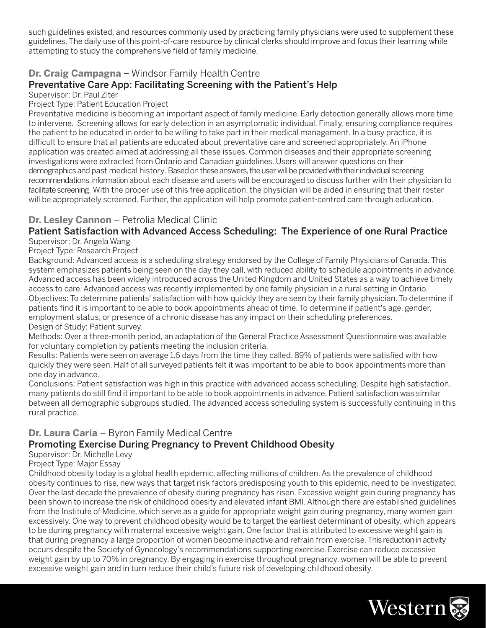such guidelines existed, and resources commonly used by practicing family physicians were used to supplement these guidelines. The daily use of this point-of-care resource by clinical clerks should improve and focus their learning while attempting to study the comprehensive field of family medicine.

#### **Dr. Craig Campagna** – Windsor Family Health Centre Preventative Care App: Facilitating Screening with the Patient's Help

Supervisor: Dr. Paul Ziter

Project Type: Patient Education Project

Preventative medicine is becoming an important aspect of family medicine. Early detection generally allows more time to intervene. Screening allows for early detection in an asymptomatic individual. Finally, ensuring compliance requires the patient to be educated in order to be willing to take part in their medical management. In a busy practice, it is difficult to ensure that all patients are educated about preventative care and screened appropriately. An iPhone application was created aimed at addressing all these issues. Common diseases and their appropriate screening investigations were extracted from Ontario and Canadian guidelines. Users will answer questions on their demographics and past medical history. Based on these answers, the user will be provided with their individual screening recommendations, information about each disease and users will be encouraged to discuss further with their physician to facilitate screening. With the proper use of this free application, the physician will be aided in ensuring that their roster will be appropriately screened. Further, the application will help promote patient-centred care through education.

#### **Dr. Lesley Cannon** – Petrolia Medical Clinic

#### Patient Satisfaction with Advanced Access Scheduling: The Experience of one Rural Practice Supervisor: Dr. Angela Wang

Project Type: Research Project

Background: Advanced access is a scheduling strategy endorsed by the College of Family Physicians of Canada. This system emphasizes patients being seen on the day they call, with reduced ability to schedule appointments in advance. Advanced access has been widely introduced across the United Kingdom and United States as a way to achieve timely access to care. Advanced access was recently implemented by one family physician in a rural setting in Ontario. Objectives: To determine patients' satisfaction with how quickly they are seen by their family physician. To determine if patients find it is important to be able to book appointments ahead of time. To determine if patient's age, gender, employment status, or presence of a chronic disease has any impact on their scheduling preferences. Design of Study: Patient survey.

Methods: Over a three-month period, an adaptation of the General Practice Assessment Questionnaire was available for voluntary completion by patients meeting the inclusion criteria.

Results: Patients were seen on average 1.6 days from the time they called. 89% of patients were satisfied with how quickly they were seen. Half of all surveyed patients felt it was important to be able to book appointments more than one day in advance.

Conclusions: Patient satisfaction was high in this practice with advanced access scheduling. Despite high satisfaction, many patients do still find it important to be able to book appointments in advance. Patient satisfaction was similar between all demographic subgroups studied. The advanced access scheduling system is successfully continuing in this rural practice.

#### **Dr. Laura Caria** – Byron Family Medical Centre

#### Promoting Exercise During Pregnancy to Prevent Childhood Obesity

Supervisor: Dr. Michelle Levy

Project Type: Major Essay

Childhood obesity today is a global health epidemic, affecting millions of children. As the prevalence of childhood obesity continues to rise, new ways that target risk factors predisposing youth to this epidemic, need to be investigated. Over the last decade the prevalence of obesity during pregnancy has risen. Excessive weight gain during pregnancy has been shown to increase the risk of childhood obesity and elevated infant BMI. Although there are established guidelines from the Institute of Medicine, which serve as a guide for appropriate weight gain during pregnancy, many women gain excessively. One way to prevent childhood obesity would be to target the earliest determinant of obesity, which appears to be during pregnancy with maternal excessive weight gain. One factor that is attributed to excessive weight gain is that during pregnancy a large proportion of women become inactive and refrain from exercise. This reduction in activity occurs despite the Society of Gynecology's recommendations supporting exercise. Exercise can reduce excessive weight gain by up to 70% in pregnancy. By engaging in exercise throughout pregnancy, women will be able to prevent excessive weight gain and in turn reduce their child's future risk of developing childhood obesity.

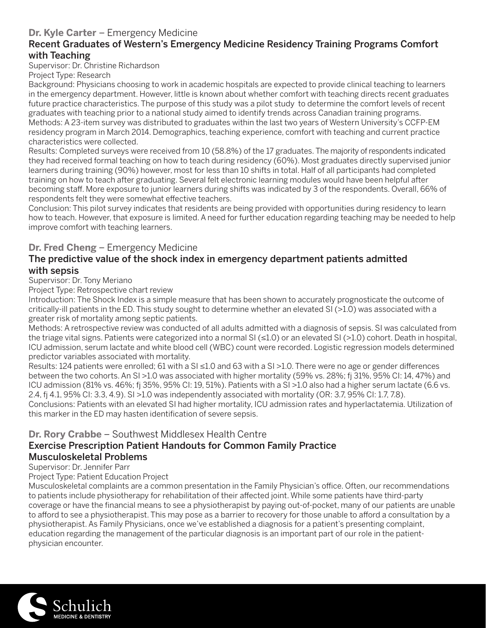#### **Dr. Kyle Carter** – Emergency Medicine

#### Recent Graduates of Western's Emergency Medicine Residency Training Programs Comfort with Teaching

Supervisor: Dr. Christine Richardson

Project Type: Research

Background: Physicians choosing to work in academic hospitals are expected to provide clinical teaching to learners in the emergency department. However, little is known about whether comfort with teaching directs recent graduates future practice characteristics. The purpose of this study was a pilot study to determine the comfort levels of recent graduates with teaching prior to a national study aimed to identify trends across Canadian training programs. Methods: A 23-item survey was distributed to graduates within the last two years of Western University's CCFP-EM residency program in March 2014. Demographics, teaching experience, comfort with teaching and current practice characteristics were collected.

Results: Completed surveys were received from 10 (58.8%) of the 17 graduates. The majority of respondents indicated they had received formal teaching on how to teach during residency (60%). Most graduates directly supervised junior learners during training (90%) however, most for less than 10 shifts in total. Half of all participants had completed training on how to teach after graduating. Several felt electronic learning modules would have been helpful after becoming staff. More exposure to junior learners during shifts was indicated by 3 of the respondents. Overall, 66% of respondents felt they were somewhat effective teachers.

Conclusion: This pilot survey indicates that residents are being provided with opportunities during residency to learn how to teach. However, that exposure is limited. A need for further education regarding teaching may be needed to help improve comfort with teaching learners.

#### **Dr. Fred Cheng** – Emergency Medicine

#### The predictive value of the shock index in emergency department patients admitted with sepsis

Supervisor: Dr. Tony Meriano

Project Type: Retrospective chart review

Introduction: The Shock Index is a simple measure that has been shown to accurately prognosticate the outcome of critically-ill patients in the ED. This study sought to determine whether an elevated SI (>1.0) was associated with a greater risk of mortality among septic patients.

Methods: A retrospective review was conducted of all adults admitted with a diagnosis of sepsis. SI was calculated from the triage vital signs. Patients were categorized into a normal SI (≤1.0) or an elevated SI (>1.0) cohort. Death in hospital, ICU admission, serum lactate and white blood cell (WBC) count were recorded. Logistic regression models determined predictor variables associated with mortality.

Results: 124 patients were enrolled; 61 with a SI ≤1.0 and 63 with a SI >1.0. There were no age or gender differences between the two cohorts. An SI >1.0 was associated with higher mortality (59% vs. 28%; fj 31%, 95% CI: 14, 47%) and ICU admission (81% vs. 46%; fj 35%, 95% CI: 19, 51%). Patients with a SI >1.0 also had a higher serum lactate (6.6 vs. 2.4, fi 4.1, 95% CI: 3.3, 4.9). SI >1.0 was independently associated with mortality (OR: 3.7, 95% CI: 1.7, 7.8).

Conclusions: Patients with an elevated SI had higher mortality, ICU admission rates and hyperlactatemia. Utilization of this marker in the ED may hasten identification of severe sepsis.

#### **Dr. Rory Crabbe** – Southwest Middlesex Health Centre

#### Exercise Prescription Patient Handouts for Common Family Practice Musculoskeletal Problems

Supervisor: Dr. Jennifer Parr

Project Type: Patient Education Project

Musculoskeletal complaints are a common presentation in the Family Physician's office. Often, our recommendations to patients include physiotherapy for rehabilitation of their affected joint. While some patients have third-party coverage or have the financial means to see a physiotherapist by paying out-of-pocket, many of our patients are unable to afford to see a physiotherapist. This may pose as a barrier to recovery for those unable to afford a consultation by a physiotherapist. As Family Physicians, once we've established a diagnosis for a patient's presenting complaint, education regarding the management of the particular diagnosis is an important part of our role in the patientphysician encounter.

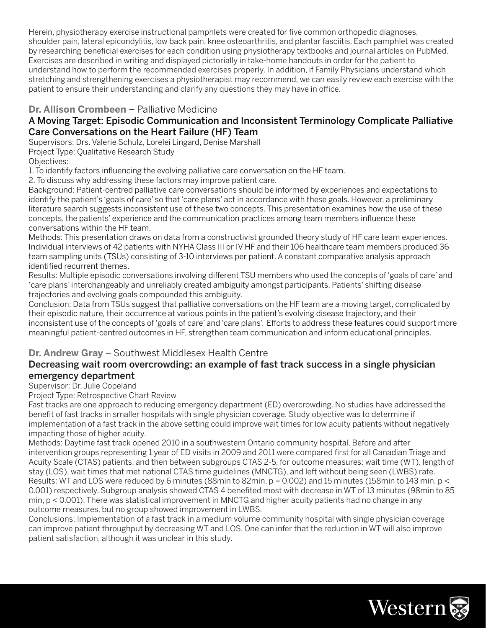Herein, physiotherapy exercise instructional pamphlets were created for five common orthopedic diagnoses, shoulder pain, lateral epicondylitis, low back pain, knee osteoarthritis, and plantar fasciitis. Each pamphlet was created by researching beneficial exercises for each condition using physiotherapy textbooks and journal articles on PubMed. Exercises are described in writing and displayed pictorially in take-home handouts in order for the patient to understand how to perform the recommended exercises properly. In addition, if Family Physicians understand which stretching and strengthening exercises a physiotherapist may recommend, we can easily review each exercise with the patient to ensure their understanding and clarify any questions they may have in office.

#### **Dr. Allison Crombeen** – Palliative Medicine

#### A Moving Target: Episodic Communication and Inconsistent Terminology Complicate Palliative Care Conversations on the Heart Failure (HF) Team

Supervisors: Drs. Valerie Schulz, Lorelei Lingard, Denise Marshall

Project Type: Qualitative Research Study

Objectives:

1. To identify factors influencing the evolving palliative care conversation on the HF team.

2. To discuss why addressing these factors may improve patient care.

Background: Patient-centred palliative care conversations should be informed by experiences and expectations to identify the patient's 'goals of care' so that 'care plans' act in accordance with these goals. However, a preliminary literature search suggests inconsistent use of these two concepts. This presentation examines how the use of these concepts, the patients' experience and the communication practices among team members influence these conversations within the HF team.

Methods: This presentation draws on data from a constructivist grounded theory study of HF care team experiences. Individual interviews of 42 patients with NYHA Class III or IV HF and their 106 healthcare team members produced 36 team sampling units (TSUs) consisting of 3-10 interviews per patient. A constant comparative analysis approach identified recurrent themes.

Results: Multiple episodic conversations involving different TSU members who used the concepts of 'goals of care' and 'care plans' interchangeably and unreliably created ambiguity amongst participants. Patients' shifting disease trajectories and evolving goals compounded this ambiguity.

Conclusion: Data from TSUs suggest that palliative conversations on the HF team are a moving target, complicated by their episodic nature, their occurrence at various points in the patient's evolving disease trajectory, and their inconsistent use of the concepts of 'goals of care' and 'care plans'. Efforts to address these features could support more meaningful patient-centred outcomes in HF, strengthen team communication and inform educational principles.

#### **Dr. Andrew Gray** – Southwest Middlesex Health Centre

#### Decreasing wait room overcrowding: an example of fast track success in a single physician emergency department

Supervisor: Dr. Julie Copeland

Project Type: Retrospective Chart Review

Fast tracks are one approach to reducing emergency department (ED) overcrowding. No studies have addressed the benefit of fast tracks in smaller hospitals with single physician coverage. Study objective was to determine if implementation of a fast track in the above setting could improve wait times for low acuity patients without negatively impacting those of higher acuity.

Methods: Daytime fast track opened 2010 in a southwestern Ontario community hospital. Before and after intervention groups representing 1 year of ED visits in 2009 and 2011 were compared first for all Canadian Triage and Acuity Scale (CTAS) patients, and then between subgroups CTAS 2-5, for outcome measures: wait time (WT), length of stay (LOS), wait times that met national CTAS time guidelines (MNCTG), and left without being seen (LWBS) rate. Results: WT and LOS were reduced by 6 minutes (88min to 82min, p = 0.002) and 15 minutes (158min to 143 min, p < 0.001) respectively. Subgroup analysis showed CTAS 4 benefited most with decrease in WT of 13 minutes (98min to 85 min, p < 0.001). There was statistical improvement in MNCTG and higher acuity patients had no change in any outcome measures, but no group showed improvement in LWBS.

Conclusions: Implementation of a fast track in a medium volume community hospital with single physician coverage can improve patient throughput by decreasing WT and LOS. One can infer that the reduction in WT will also improve patient satisfaction, although it was unclear in this study.

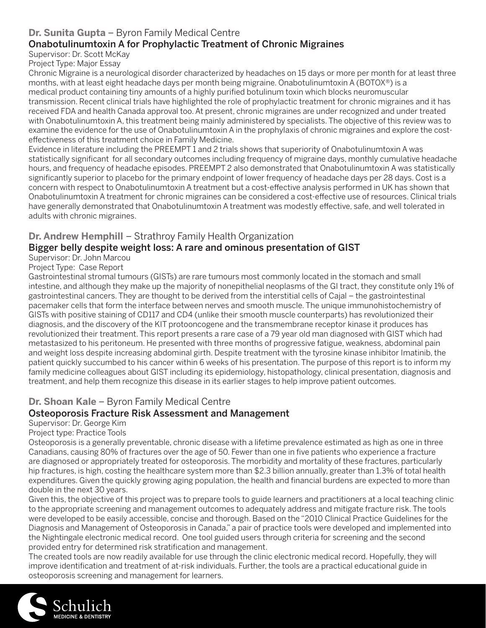# **Dr. Sunita Gupta** – Byron Family Medical Centre

# Onabotulinumtoxin A for Prophylactic Treatment of Chronic Migraines

Supervisor: Dr. Scott McKay

Project Type: Major Essay

Chronic Migraine is a neurological disorder characterized by headaches on 15 days or more per month for at least three months, with at least eight headache days per month being migraine. Onabotulinumtoxin A (BOTOX®) is a medical product containing tiny amounts of a highly purified botulinum toxin which blocks neuromuscular transmission. Recent clinical trials have highlighted the role of prophylactic treatment for chronic migraines and it has received FDA and health Canada approval too. At present, chronic migraines are under recognized and under treated with Onabotulinumtoxin A, this treatment being mainly administered by specialists. The objective of this review was to examine the evidence for the use of Onabotulinumtoxin A in the prophylaxis of chronic migraines and explore the costeffectiveness of this treatment choice in Family Medicine.

Evidence in literature including the PREEMPT 1 and 2 trials shows that superiority of Onabotulinumtoxin A was statistically significant for all secondary outcomes including frequency of migraine days, monthly cumulative headache hours, and frequency of headache episodes. PREEMPT 2 also demonstrated that Onabotulinumtoxin A was statistically significantly superior to placebo for the primary endpoint of lower frequency of headache days per 28 days. Cost is a concern with respect to Onabotulinumtoxin A treatment but a cost-effective analysis performed in UK has shown that Onabotulinumtoxin A treatment for chronic migraines can be considered a cost-effective use of resources. Clinical trials have generally demonstrated that Onabotulinumtoxin A treatment was modestly effective, safe, and well tolerated in adults with chronic migraines.

#### **Dr. Andrew Hemphill** – Strathroy Family Health Organization

#### Bigger belly despite weight loss: A rare and ominous presentation of GIST

# Supervisor: Dr. John Marcou

Project Type: Case Report

Gastrointestinal stromal tumours (GISTs) are rare tumours most commonly located in the stomach and small intestine, and although they make up the majority of nonepithelial neoplasms of the GI tract, they constitute only 1% of gastrointestinal cancers. They are thought to be derived from the interstitial cells of Cajal – the gastrointestinal pacemaker cells that form the interface between nerves and smooth muscle. The unique immunohistochemistry of GISTs with positive staining of CD117 and CD4 (unlike their smooth muscle counterparts) has revolutionized their diagnosis, and the discovery of the KIT protooncogene and the transmembrane receptor kinase it produces has revolutionized their treatment. This report presents a rare case of a 79 year old man diagnosed with GIST which had metastasized to his peritoneum. He presented with three months of progressive fatigue, weakness, abdominal pain and weight loss despite increasing abdominal girth. Despite treatment with the tyrosine kinase inhibitor Imatinib, the patient quickly succumbed to his cancer within 6 weeks of his presentation. The purpose of this report is to inform my family medicine colleagues about GIST including its epidemiology, histopathology, clinical presentation, diagnosis and treatment, and help them recognize this disease in its earlier stages to help improve patient outcomes.

# **Dr. Shoan Kale** – Byron Family Medical Centre

#### Osteoporosis Fracture Risk Assessment and Management

#### Supervisor: Dr. George Kim

Project type: Practice Tools

Osteoporosis is a generally preventable, chronic disease with a lifetime prevalence estimated as high as one in three Canadians, causing 80% of fractures over the age of 50. Fewer than one in five patients who experience a fracture are diagnosed or appropriately treated for osteoporosis. The morbidity and mortality of these fractures, particularly hip fractures, is high, costing the healthcare system more than \$2.3 billion annually, greater than 1.3% of total health expenditures. Given the quickly growing aging population, the health and financial burdens are expected to more than double in the next 30 years.

Given this, the objective of this project was to prepare tools to guide learners and practitioners at a local teaching clinic to the appropriate screening and management outcomes to adequately address and mitigate fracture risk. The tools were developed to be easily accessible, concise and thorough. Based on the "2010 Clinical Practice Guidelines for the Diagnosis and Management of Osteoporosis in Canada," a pair of practice tools were developed and implemented into the Nightingale electronic medical record. One tool guided users through criteria for screening and the second provided entry for determined risk stratification and management.

The created tools are now readily available for use through the clinic electronic medical record. Hopefully, they will improve identification and treatment of at-risk individuals. Further, the tools are a practical educational guide in osteoporosis screening and management for learners.

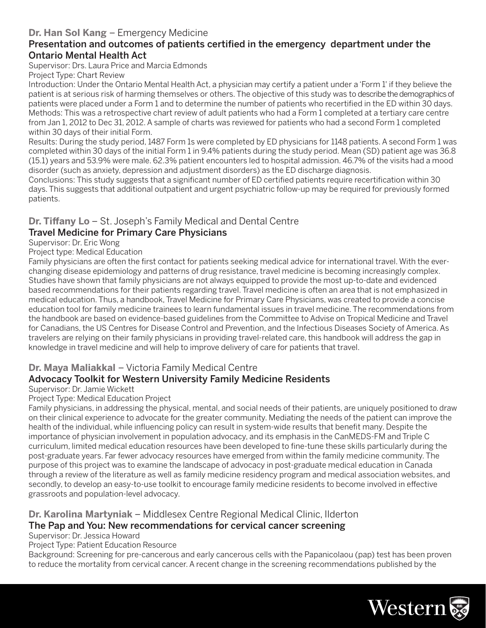#### **Dr. Han Sol Kang** – Emergency Medicine

#### Presentation and outcomes of patients certified in the emergency department under the Ontario Mental Health Act

Supervisor: Drs. Laura Price and Marcia Edmonds

Project Type: Chart Review

Introduction: Under the Ontario Mental Health Act, a physician may certify a patient under a 'Form 1' if they believe the patient is at serious risk of harming themselves or others. The objective of this study was to describe the demographics of patients were placed under a Form 1 and to determine the number of patients who recertified in the ED within 30 days. Methods: This was a retrospective chart review of adult patients who had a Form 1 completed at a tertiary care centre from Jan 1, 2012 to Dec 31, 2012. A sample of charts was reviewed for patients who had a second Form 1 completed within 30 days of their initial Form.

Results: During the study period, 1487 Form 1s were completed by ED physicians for 1148 patients. A second Form 1 was completed within 30 days of the initial Form 1 in 9.4% patients during the study period. Mean (SD) patient age was 36.8 (15.1) years and 53.9% were male. 62.3% patient encounters led to hospital admission. 46.7% of the visits had a mood disorder (such as anxiety, depression and adjustment disorders) as the ED discharge diagnosis.

Conclusions: This study suggests that a significant number of ED certified patients require recertification within 30 days. This suggests that additional outpatient and urgent psychiatric follow-up may be required for previously formed patients.

#### **Dr. Tiffany Lo** – St. Joseph's Family Medical and Dental Centre

#### Travel Medicine for Primary Care Physicians

Supervisor: Dr. Eric Wong

Project type: Medical Education

Family physicians are often the first contact for patients seeking medical advice for international travel. With the everchanging disease epidemiology and patterns of drug resistance, travel medicine is becoming increasingly complex. Studies have shown that family physicians are not always equipped to provide the most up-to-date and evidenced based recommendations for their patients regarding travel. Travel medicine is often an area that is not emphasized in medical education. Thus, a handbook, Travel Medicine for Primary Care Physicians, was created to provide a concise education tool for family medicine trainees to learn fundamental issues in travel medicine. The recommendations from the handbook are based on evidence-based guidelines from the Committee to Advise on Tropical Medicine and Travel for Canadians, the US Centres for Disease Control and Prevention, and the Infectious Diseases Society of America. As travelers are relying on their family physicians in providing travel-related care, this handbook will address the gap in knowledge in travel medicine and will help to improve delivery of care for patients that travel.

#### **Dr. Maya Maliakkal** – Victoria Family Medical Centre

#### Advocacy Toolkit for Western University Family Medicine Residents

Supervisor: Dr. Jamie Wickett

Project Type: Medical Education Project

Family physicians, in addressing the physical, mental, and social needs of their patients, are uniquely positioned to draw on their clinical experience to advocate for the greater community. Mediating the needs of the patient can improve the health of the individual, while influencing policy can result in system-wide results that benefit many. Despite the importance of physician involvement in population advocacy, and its emphasis in the CanMEDS-FM and Triple C curriculum, limited medical education resources have been developed to fine-tune these skills particularly during the post-graduate years. Far fewer advocacy resources have emerged from within the family medicine community. The purpose of this project was to examine the landscape of advocacy in post-graduate medical education in Canada through a review of the literature as well as family medicine residency program and medical association websites, and secondly, to develop an easy-to-use toolkit to encourage family medicine residents to become involved in effective grassroots and population-level advocacy.

#### **Dr. Karolina Martyniak** – Middlesex Centre Regional Medical Clinic, Ilderton The Pap and You: New recommendations for cervical cancer screening

Supervisor: Dr. Jessica Howard

Project Type: Patient Education Resource

Background: Screening for pre-cancerous and early cancerous cells with the Papanicolaou (pap) test has been proven to reduce the mortality from cervical cancer. A recent change in the screening recommendations published by the

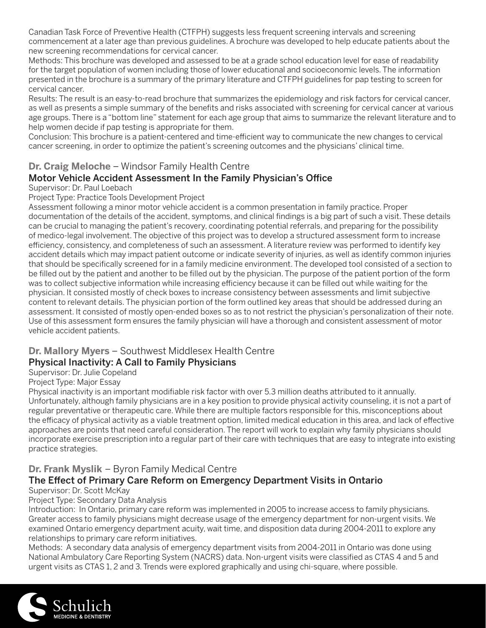Canadian Task Force of Preventive Health (CTFPH) suggests less frequent screening intervals and screening commencement at a later age than previous guidelines. A brochure was developed to help educate patients about the new screening recommendations for cervical cancer.

Methods: This brochure was developed and assessed to be at a grade school education level for ease of readability for the target population of women including those of lower educational and socioeconomic levels. The information presented in the brochure is a summary of the primary literature and CTFPH guidelines for pap testing to screen for cervical cancer.

Results: The result is an easy-to-read brochure that summarizes the epidemiology and risk factors for cervical cancer, as well as presents a simple summary of the benefits and risks associated with screening for cervical cancer at various age groups. There is a "bottom line" statement for each age group that aims to summarize the relevant literature and to help women decide if pap testing is appropriate for them.

Conclusion: This brochure is a patient-centered and time-efficient way to communicate the new changes to cervical cancer screening, in order to optimize the patient's screening outcomes and the physicians' clinical time.

#### **Dr. Craig Meloche** – Windsor Family Health Centre Motor Vehicle Accident Assessment In the Family Physician's Office

#### Supervisor: Dr. Paul Loebach

#### Project Type: Practice Tools Development Project

Assessment following a minor motor vehicle accident is a common presentation in family practice. Proper documentation of the details of the accident, symptoms, and clinical findings is a big part of such a visit. These details can be crucial to managing the patient's recovery, coordinating potential referrals, and preparing for the possibility of medico-legal involvement. The objective of this project was to develop a structured assessment form to increase efficiency, consistency, and completeness of such an assessment. A literature review was performed to identify key accident details which may impact patient outcome or indicate severity of injuries, as well as identify common injuries that should be specifically screened for in a family medicine environment. The developed tool consisted of a section to be filled out by the patient and another to be filled out by the physician. The purpose of the patient portion of the form was to collect subjective information while increasing efficiency because it can be filled out while waiting for the physician. It consisted mostly of check boxes to increase consistency between assessments and limit subjective content to relevant details. The physician portion of the form outlined key areas that should be addressed during an assessment. It consisted of mostly open-ended boxes so as to not restrict the physician's personalization of their note. Use of this assessment form ensures the family physician will have a thorough and consistent assessment of motor vehicle accident patients.

#### **Dr. Mallory Myers** – Southwest Middlesex Health Centre

#### Physical Inactivity: A Call to Family Physicians

Supervisor: Dr. Julie Copeland

#### Project Type: Major Essay

Physical inactivity is an important modifiable risk factor with over 5.3 million deaths attributed to it annually. Unfortunately, although family physicians are in a key position to provide physical activity counseling, it is not a part of regular preventative or therapeutic care. While there are multiple factors responsible for this, misconceptions about the efficacy of physical activity as a viable treatment option, limited medical education in this area, and lack of effective approaches are points that need careful consideration. The report will work to explain why family physicians should incorporate exercise prescription into a regular part of their care with techniques that are easy to integrate into existing practice strategies.

#### **Dr. Frank Myslik** – Byron Family Medical Centre

#### The Effect of Primary Care Reform on Emergency Department Visits in Ontario

#### Supervisor: Dr. Scott McKay

#### Project Type: Secondary Data Analysis

Introduction: In Ontario, primary care reform was implemented in 2005 to increase access to family physicians. Greater access to family physicians might decrease usage of the emergency department for non-urgent visits. We examined Ontario emergency department acuity, wait time, and disposition data during 2004-2011 to explore any relationships to primary care reform initiatives.

Methods: A secondary data analysis of emergency department visits from 2004-2011 in Ontario was done using National Ambulatory Care Reporting System (NACRS) data. Non-urgent visits were classified as CTAS 4 and 5 and urgent visits as CTAS 1, 2 and 3. Trends were explored graphically and using chi-square, where possible.

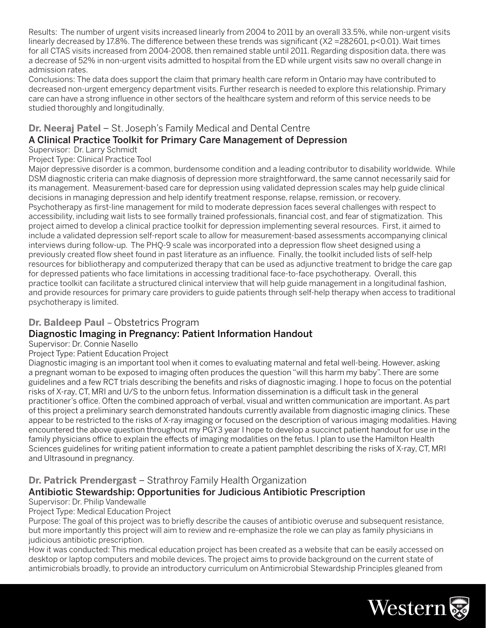Results: The number of urgent visits increased linearly from 2004 to 2011 by an overall 33.5%, while non-urgent visits linearly decreased by 17.8%. The difference between these trends was significant (X2 = 282601, p<0.01). Wait times for all CTAS visits increased from 2004-2008, then remained stable until 2011. Regarding disposition data, there was a decrease of 52% in non-urgent visits admitted to hospital from the ED while urgent visits saw no overall change in admission rates.

Conclusions: The data does support the claim that primary health care reform in Ontario may have contributed to decreased non-urgent emergency department visits. Further research is needed to explore this relationship. Primary care can have a strong influence in other sectors of the healthcare system and reform of this service needs to be studied thoroughly and longitudinally.

# **Dr. Neeraj Patel** – St. Joseph's Family Medical and Dental Centre A Clinical Practice Toolkit for Primary Care Management of Depression

# Supervisor: Dr. Larry Schmidt

Project Type: Clinical Practice Tool

Major depressive disorder is a common, burdensome condition and a leading contributor to disability worldwide. While DSM diagnostic criteria can make diagnosis of depression more straightforward, the same cannot necessarily said for its management. Measurement-based care for depression using validated depression scales may help guide clinical decisions in managing depression and help identify treatment response, relapse, remission, or recovery. Psychotherapy as first-line management for mild to moderate depression faces several challenges with respect to accessibility, including wait lists to see formally trained professionals, financial cost, and fear of stigmatization. This project aimed to develop a clinical practice toolkit for depression implementing several resources. First, it aimed to include a validated depression self-report scale to allow for measurement-based assessments accompanying clinical interviews during follow-up. The PHQ-9 scale was incorporated into a depression flow sheet designed using a previously created flow sheet found in past literature as an influence. Finally, the toolkit included lists of self-help resources for bibliotherapy and computerized therapy that can be used as adjunctive treatment to bridge the care gap for depressed patients who face limitations in accessing traditional face-to-face psychotherapy. Overall, this practice toolkit can facilitate a structured clinical interview that will help guide management in a longitudinal fashion, and provide resources for primary care providers to guide patients through self-help therapy when access to traditional psychotherapy is limited.

#### **Dr. Baldeep Paul** – Obstetrics Program

#### Diagnostic Imaging in Pregnancy: Patient Information Handout

#### Supervisor: Dr. Connie Nasello

#### Project Type: Patient Education Project

Diagnostic imaging is an important tool when it comes to evaluating maternal and fetal well-being. However, asking a pregnant woman to be exposed to imaging often produces the question "will this harm my baby". There are some guidelines and a few RCT trials describing the benefits and risks of diagnostic imaging. I hope to focus on the potential risks of X-ray, CT, MRI and U/S to the unborn fetus. Information dissemination is a difficult task in the general practitioner's office. Often the combined approach of verbal, visual and written communication are important. As part of this project a preliminary search demonstrated handouts currently available from diagnostic imaging clinics. These appear to be restricted to the risks of X-ray imaging or focused on the description of various imaging modalities. Having encountered the above question throughout my PGY3 year I hope to develop a succinct patient handout for use in the family physicians office to explain the effects of imaging modalities on the fetus. I plan to use the Hamilton Health Sciences guidelines for writing patient information to create a patient pamphlet describing the risks of X-ray, CT, MRI and Ultrasound in pregnancy.

# **Dr. Patrick Prendergast** – Strathroy Family Health Organization

#### Antibiotic Stewardship: Opportunities for Judicious Antibiotic Prescription

#### Supervisor: Dr. Philip Vandewalle

#### Project Type: Medical Education Project

Purpose: The goal of this project was to briefly describe the causes of antibiotic overuse and subsequent resistance, but more importantly this project will aim to review and re-emphasize the role we can play as family physicians in judicious antibiotic prescription.

How it was conducted: This medical education project has been created as a website that can be easily accessed on desktop or laptop computers and mobile devices. The project aims to provide background on the current state of antimicrobials broadly, to provide an introductory curriculum on Antimicrobial Stewardship Principles gleaned from

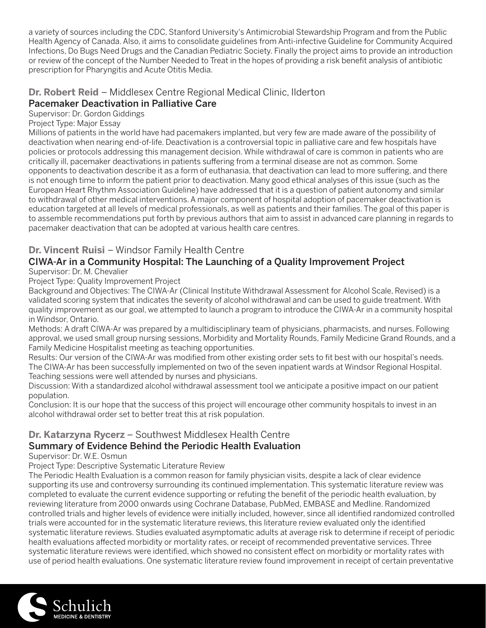a variety of sources including the CDC, Stanford University's Antimicrobial Stewardship Program and from the Public Health Agency of Canada. Also, it aims to consolidate guidelines from Anti-infective Guideline for Community Acquired Infections, Do Bugs Need Drugs and the Canadian Pediatric Society. Finally the project aims to provide an introduction or review of the concept of the Number Needed to Treat in the hopes of providing a risk benefit analysis of antibiotic prescription for Pharyngitis and Acute Otitis Media.

# **Dr. Robert Reid** – Middlesex Centre Regional Medical Clinic, Ilderton

#### Pacemaker Deactivation in Palliative Care

Supervisor: Dr. Gordon Giddings

Project Type: Major Essay

Millions of patients in the world have had pacemakers implanted, but very few are made aware of the possibility of deactivation when nearing end-of-life. Deactivation is a controversial topic in palliative care and few hospitals have policies or protocols addressing this management decision. While withdrawal of care is common in patients who are critically ill, pacemaker deactivations in patients suffering from a terminal disease are not as common. Some opponents to deactivation describe it as a form of euthanasia, that deactivation can lead to more suffering, and there is not enough time to inform the patient prior to deactivation. Many good ethical analyses of this issue (such as the European Heart Rhythm Association Guideline) have addressed that it is a question of patient autonomy and similar to withdrawal of other medical interventions. A major component of hospital adoption of pacemaker deactivation is education targeted at all levels of medical professionals, as well as patients and their families. The goal of this paper is to assemble recommendations put forth by previous authors that aim to assist in advanced care planning in regards to pacemaker deactivation that can be adopted at various health care centres.

#### **Dr. Vincent Ruisi** – Windsor Family Health Centre

#### CIWA-Ar in a Community Hospital: The Launching of a Quality Improvement Project Supervisor: Dr. M. Chevalier

Project Type: Quality Improvement Project

Background and Objectives: The CIWA-Ar (Clinical Institute Withdrawal Assessment for Alcohol Scale, Revised) is a validated scoring system that indicates the severity of alcohol withdrawal and can be used to guide treatment. With quality improvement as our goal, we attempted to launch a program to introduce the CIWA-Ar in a community hospital in Windsor, Ontario.

Methods: A draft CIWA-Ar was prepared by a multidisciplinary team of physicians, pharmacists, and nurses. Following approval, we used small group nursing sessions, Morbidity and Mortality Rounds, Family Medicine Grand Rounds, and a Family Medicine Hospitalist meeting as teaching opportunities.

Results: Our version of the CIWA-Ar was modified from other existing order sets to fit best with our hospital's needs. The CIWA-Ar has been successfully implemented on two of the seven inpatient wards at Windsor Regional Hospital. Teaching sessions were well attended by nurses and physicians.

Discussion: With a standardized alcohol withdrawal assessment tool we anticipate a positive impact on our patient population.

Conclusion: It is our hope that the success of this project will encourage other community hospitals to invest in an alcohol withdrawal order set to better treat this at risk population.

# **Dr. Katarzyna Rycerz** – Southwest Middlesex Health Centre Summary of Evidence Behind the Periodic Health Evaluation

Supervisor: Dr. W.E. Osmun

Project Type: Descriptive Systematic Literature Review

The Periodic Health Evaluation is a common reason for family physician visits, despite a lack of clear evidence supporting its use and controversy surrounding its continued implementation. This systematic literature review was completed to evaluate the current evidence supporting or refuting the benefit of the periodic health evaluation, by reviewing literature from 2000 onwards using Cochrane Database, PubMed, EMBASE and Medline. Randomized controlled trials and higher levels of evidence were initially included, however, since all identified randomized controlled trials were accounted for in the systematic literature reviews, this literature review evaluated only the identified systematic literature reviews. Studies evaluated asymptomatic adults at average risk to determine if receipt of periodic health evaluations affected morbidity or mortality rates, or receipt of recommended preventative services. Three systematic literature reviews were identified, which showed no consistent effect on morbidity or mortality rates with use of period health evaluations. One systematic literature review found improvement in receipt of certain preventative

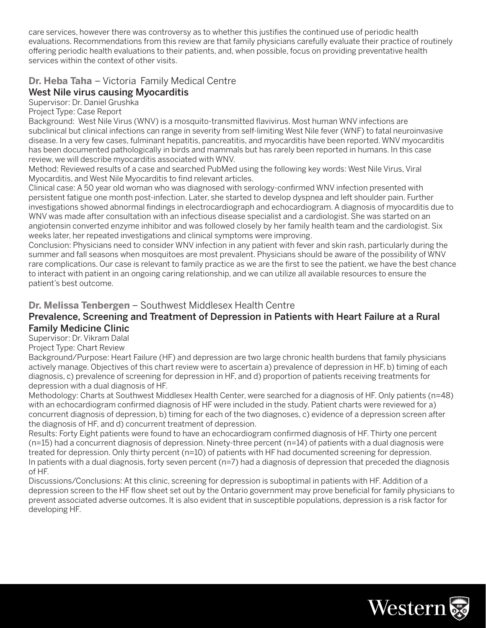care services, however there was controversy as to whether this justifies the continued use of periodic health evaluations. Recommendations from this review are that family physicians carefully evaluate their practice of routinely offering periodic health evaluations to their patients, and, when possible, focus on providing preventative health services within the context of other visits.

#### **Dr. Heba Taha** – Victoria Family Medical Centre

#### West Nile virus causing Myocarditis

Supervisor: Dr. Daniel Grushka

Project Type: Case Report

Background: West Nile Virus (WNV) is a mosquito-transmitted flavivirus. Most human WNV infections are subclinical but clinical infections can range in severity from self-limiting West Nile fever (WNF) to fatal neuroinvasive disease. In a very few cases, fulminant hepatitis, pancreatitis, and myocarditis have been reported. WNV myocarditis has been documented pathologically in birds and mammals but has rarely been reported in humans. In this case review, we will describe myocarditis associated with WNV.

Method: Reviewed results of a case and searched PubMed using the following key words: West Nile Virus, Viral Myocarditis, and West Nile Myocarditis to find relevant articles.

Clinical case: A 50 year old woman who was diagnosed with serology-confirmed WNV infection presented with persistent fatigue one month post-infection. Later, she started to develop dyspnea and left shoulder pain. Further investigations showed abnormal findings in electrocardiograph and echocardiogram. A diagnosis of myocarditis due to WNV was made after consultation with an infectious disease specialist and a cardiologist. She was started on an angiotensin converted enzyme inhibitor and was followed closely by her family health team and the cardiologist. Six weeks later, her repeated investigations and clinical symptoms were improving.

Conclusion: Physicians need to consider WNV infection in any patient with fever and skin rash, particularly during the summer and fall seasons when mosquitoes are most prevalent. Physicians should be aware of the possibility of WNV rare complications. Our case is relevant to family practice as we are the first to see the patient, we have the best chance to interact with patient in an ongoing caring relationship, and we can utilize all available resources to ensure the patient's best outcome.

#### **Dr. Melissa Tenbergen** – Southwest Middlesex Health Centre

#### Prevalence, Screening and Treatment of Depression in Patients with Heart Failure at a Rural Family Medicine Clinic

Supervisor: Dr. Vikram Dalal

Project Type: Chart Review

Background/Purpose: Heart Failure (HF) and depression are two large chronic health burdens that family physicians actively manage. Objectives of this chart review were to ascertain a) prevalence of depression in HF, b) timing of each diagnosis, c) prevalence of screening for depression in HF, and d) proportion of patients receiving treatments for depression with a dual diagnosis of HF.

Methodology: Charts at Southwest Middlesex Health Center, were searched for a diagnosis of HF. Only patients (n=48) with an echocardiogram confirmed diagnosis of HF were included in the study. Patient charts were reviewed for a) concurrent diagnosis of depression, b) timing for each of the two diagnoses, c) evidence of a depression screen after the diagnosis of HF, and d) concurrent treatment of depression.

Results: Forty Eight patients were found to have an echocardiogram confirmed diagnosis of HF. Thirty one percent (n=15) had a concurrent diagnosis of depression. Ninety-three percent (n=14) of patients with a dual diagnosis were treated for depression. Only thirty percent (n=10) of patients with HF had documented screening for depression. In patients with a dual diagnosis, forty seven percent (n=7) had a diagnosis of depression that preceded the diagnosis of HF.

Discussions/Conclusions: At this clinic, screening for depression is suboptimal in patients with HF. Addition of a depression screen to the HF flow sheet set out by the Ontario government may prove beneficial for family physicians to prevent associated adverse outcomes. It is also evident that in susceptible populations, depression is a risk factor for developing HF.